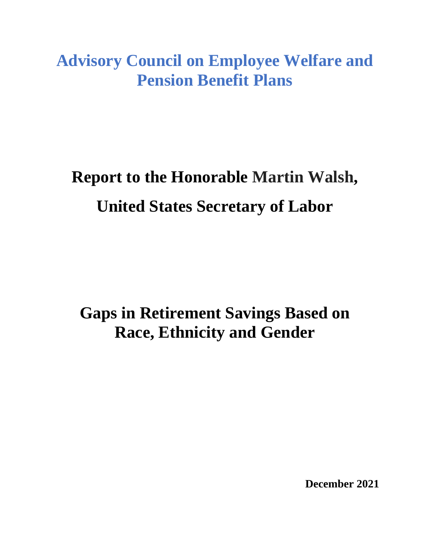**Advisory Council on Employee Welfare and Pension Benefit Plans**

# **Report to the Honorable Martin Walsh, United States Secretary of Labor**

**Gaps in Retirement Savings Based on Race, Ethnicity and Gender**

**December 2021**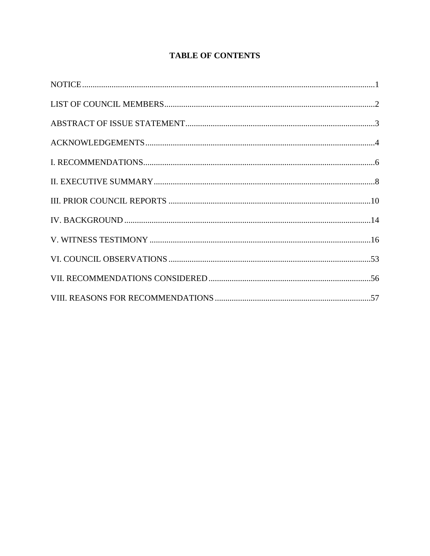## **TABLE OF CONTENTS**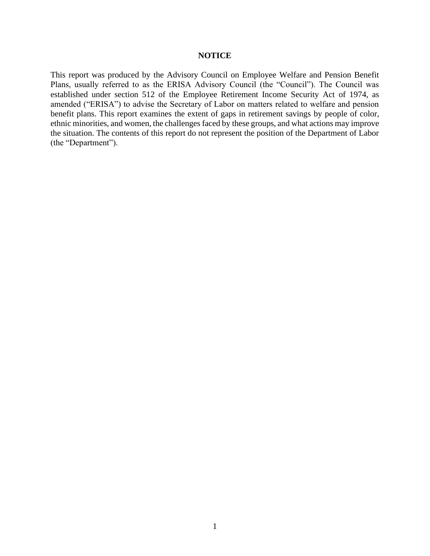#### **NOTICE**

This report was produced by the Advisory Council on Employee Welfare and Pension Benefit Plans, usually referred to as the ERISA Advisory Council (the "Council"). The Council was established under section 512 of the Employee Retirement Income Security Act of 1974, as amended ("ERISA") to advise the Secretary of Labor on matters related to welfare and pension benefit plans. This report examines the extent of gaps in retirement savings by people of color, ethnic minorities, and women, the challenges faced by these groups, and what actions may improve the situation. The contents of this report do not represent the position of the Department of Labor (the "Department").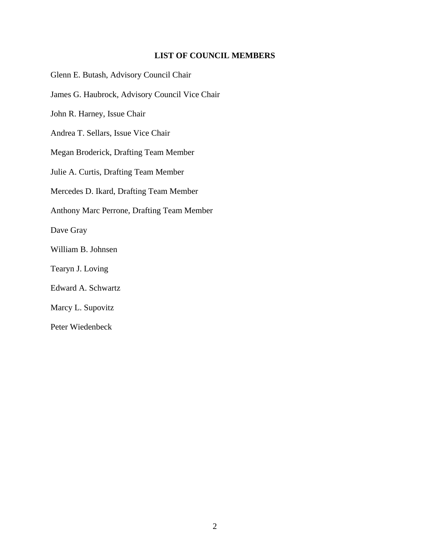#### **LIST OF COUNCIL MEMBERS**

Glenn E. Butash, Advisory Council Chair James G. Haubrock, Advisory Council Vice Chair John R. Harney, Issue Chair Andrea T. Sellars, Issue Vice Chair Megan Broderick, Drafting Team Member Julie A. Curtis, Drafting Team Member Mercedes D. Ikard, Drafting Team Member Anthony Marc Perrone, Drafting Team Member Dave Gray William B. Johnsen Tearyn J. Loving Edward A. Schwartz Marcy L. Supovitz Peter Wiedenbeck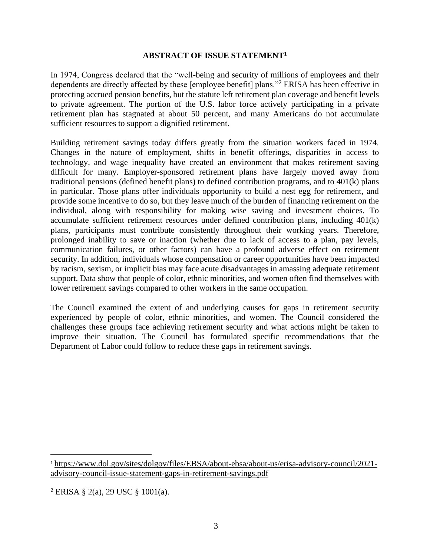#### **ABSTRACT OF ISSUE STATEMENT<sup>1</sup>**

In 1974, Congress declared that the "well-being and security of millions of employees and their dependents are directly affected by these [employee benefit] plans."<sup>2</sup> ERISA has been effective in protecting accrued pension benefits, but the statute left retirement plan coverage and benefit levels to private agreement. The portion of the U.S. labor force actively participating in a private retirement plan has stagnated at about 50 percent, and many Americans do not accumulate sufficient resources to support a dignified retirement.

Building retirement savings today differs greatly from the situation workers faced in 1974. Changes in the nature of employment, shifts in benefit offerings, disparities in access to technology, and wage inequality have created an environment that makes retirement saving difficult for many. Employer-sponsored retirement plans have largely moved away from traditional pensions (defined benefit plans) to defined contribution programs, and to 401(k) plans in particular. Those plans offer individuals opportunity to build a nest egg for retirement, and provide some incentive to do so, but they leave much of the burden of financing retirement on the individual, along with responsibility for making wise saving and investment choices. To accumulate sufficient retirement resources under defined contribution plans, including 401(k) plans, participants must contribute consistently throughout their working years. Therefore, prolonged inability to save or inaction (whether due to lack of access to a plan, pay levels, communication failures, or other factors) can have a profound adverse effect on retirement security. In addition, individuals whose compensation or career opportunities have been impacted by racism, sexism, or implicit bias may face acute disadvantages in amassing adequate retirement support. Data show that people of color, ethnic minorities, and women often find themselves with lower retirement savings compared to other workers in the same occupation.

The Council examined the extent of and underlying causes for gaps in retirement security experienced by people of color, ethnic minorities, and women. The Council considered the challenges these groups face achieving retirement security and what actions might be taken to improve their situation. The Council has formulated specific recommendations that the Department of Labor could follow to reduce these gaps in retirement savings.

<sup>1</sup> [https://www.dol.gov/sites/dolgov/files/EBSA/about-ebsa/about-us/erisa-advisory-council/2021](https://www.dol.gov/sites/dolgov/files/EBSA/about-ebsa/about-us/erisa-advisory-council/2021-advisory-council-issue-statement-gaps-in-retirement-savings.pdf) [advisory-council-issue-statement-gaps-in-retirement-savings.pdf](https://www.dol.gov/sites/dolgov/files/EBSA/about-ebsa/about-us/erisa-advisory-council/2021-advisory-council-issue-statement-gaps-in-retirement-savings.pdf)

<sup>2</sup> ERISA § 2(a), 29 USC § 1001(a).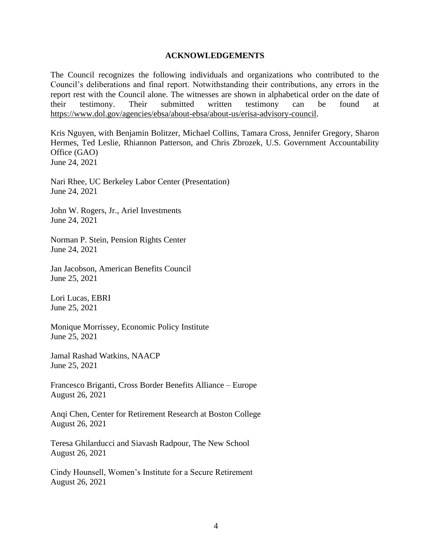#### **ACKNOWLEDGEMENTS**

The Council recognizes the following individuals and organizations who contributed to the Council's deliberations and final report. Notwithstanding their contributions, any errors in the report rest with the Council alone. The witnesses are shown in alphabetical order on the date of their testimony. Their submitted written testimony can be found at [https://www.dol.gov/agencies/ebsa/about-ebsa/about-us/erisa-advisory-council.](https://www.dol.gov/agencies/ebsa/about-ebsa/about-us/erisa-advisory-council)

Kris Nguyen, with Benjamin Bolitzer, Michael Collins, Tamara Cross, Jennifer Gregory, Sharon Hermes, Ted Leslie, Rhiannon Patterson, and Chris Zbrozek, U.S. Government Accountability Office (GAO) June 24, 2021

Nari Rhee, UC Berkeley Labor Center (Presentation) June 24, 2021

John W. Rogers, Jr., Ariel Investments June 24, 2021

Norman P. Stein, Pension Rights Center June 24, 2021

Jan Jacobson, American Benefits Council June 25, 2021

Lori Lucas, EBRI June 25, 2021

Monique Morrissey, Economic Policy Institute June 25, 2021

Jamal Rashad Watkins, NAACP June 25, 2021

Francesco Briganti, Cross Border Benefits Alliance – Europe August 26, 2021

Anqi Chen, Center for Retirement Research at Boston College August 26, 2021

Teresa Ghilarducci and Siavash Radpour, The New School August 26, 2021

Cindy Hounsell, Women's Institute for a Secure Retirement August 26, 2021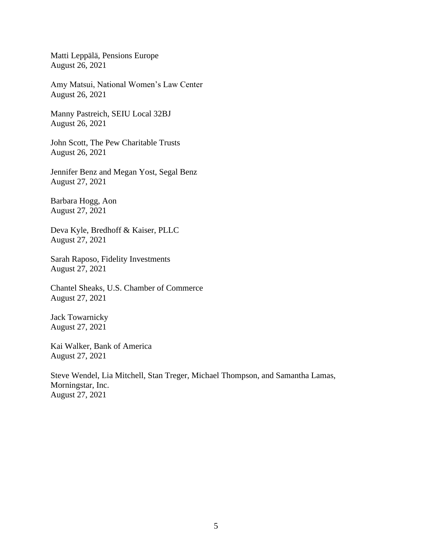Matti Leppälä, Pensions Europe August 26, 2021

Amy Matsui, National Women's Law Center August 26, 2021

Manny Pastreich, SEIU Local 32BJ August 26, 2021

John Scott, The Pew Charitable Trusts August 26, 2021

Jennifer Benz and Megan Yost, Segal Benz August 27, 2021

Barbara Hogg, Aon August 27, 2021

Deva Kyle, Bredhoff & Kaiser, PLLC August 27, 2021

Sarah Raposo, Fidelity Investments August 27, 2021

Chantel Sheaks, U.S. Chamber of Commerce August 27, 2021

Jack Towarnicky August 27, 2021

Kai Walker, Bank of America August 27, 2021

Steve Wendel, Lia Mitchell, Stan Treger, Michael Thompson, and Samantha Lamas, Morningstar, Inc. August 27, 2021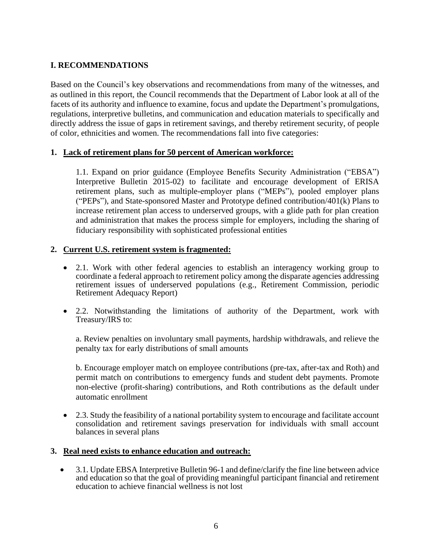## **I. RECOMMENDATIONS**

Based on the Council's key observations and recommendations from many of the witnesses, and as outlined in this report, the Council recommends that the Department of Labor look at all of the facets of its authority and influence to examine, focus and update the Department's promulgations, regulations, interpretive bulletins, and communication and education materials to specifically and directly address the issue of gaps in retirement savings, and thereby retirement security, of people of color, ethnicities and women. The recommendations fall into five categories:

#### **1. Lack of retirement plans for 50 percent of American workforce:**

1.1. Expand on prior guidance (Employee Benefits Security Administration ("EBSA") Interpretive Bulletin 2015-02) to facilitate and encourage development of ERISA retirement plans, such as multiple-employer plans ("MEPs"), pooled employer plans ("PEPs"), and State-sponsored Master and Prototype defined contribution/401(k) Plans to increase retirement plan access to underserved groups, with a glide path for plan creation and administration that makes the process simple for employers, including the sharing of fiduciary responsibility with sophisticated professional entities

#### **2. Current U.S. retirement system is fragmented:**

- 2.1. Work with other federal agencies to establish an interagency working group to coordinate a federal approach to retirement policy among the disparate agencies addressing retirement issues of underserved populations (e.g., Retirement Commission, periodic Retirement Adequacy Report)
- 2.2. Notwithstanding the limitations of authority of the Department, work with Treasury/IRS to:

a. Review penalties on involuntary small payments, hardship withdrawals, and relieve the penalty tax for early distributions of small amounts

b. Encourage employer match on employee contributions (pre-tax, after-tax and Roth) and permit match on contributions to emergency funds and student debt payments. Promote non-elective (profit-sharing) contributions, and Roth contributions as the default under automatic enrollment

• 2.3. Study the feasibility of a national portability system to encourage and facilitate account consolidation and retirement savings preservation for individuals with small account balances in several plans

#### **3. Real need exists to enhance education and outreach:**

• 3.1. Update EBSA Interpretive Bulletin 96-1 and define/clarify the fine line between advice and education so that the goal of providing meaningful participant financial and retirement education to achieve financial wellness is not lost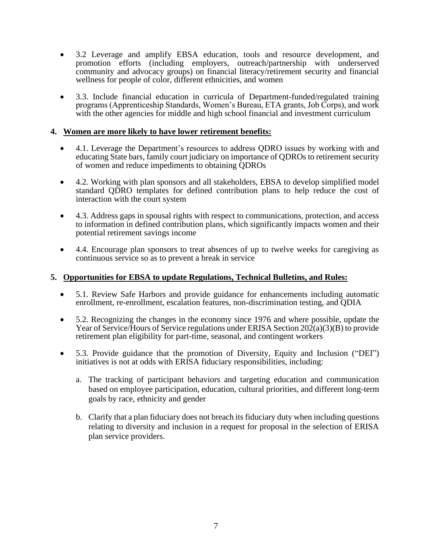- 3.2 Leverage and amplify EBSA education, tools and resource development, and promotion efforts (including employers, outreach/partnership with underserved community and advocacy groups) on financial literacy/retirement security and financial wellness for people of color, different ethnicities, and women
- 3.3. Include financial education in curricula of Department-funded/regulated training programs (Apprenticeship Standards, Women's Bureau, ETA grants, Job Corps), and work with the other agencies for middle and high school financial and investment curriculum

#### **4. Women are more likely to have lower retirement benefits:**

- 4.1. Leverage the Department's resources to address QDRO issues by working with and educating State bars, family court judiciary on importance of QDROs to retirement security of women and reduce impediments to obtaining QDROs
- 4.2. Working with plan sponsors and all stakeholders, EBSA to develop simplified model standard QDRO templates for defined contribution plans to help reduce the cost of interaction with the court system
- 4.3. Address gaps in spousal rights with respect to communications, protection, and access to information in defined contribution plans, which significantly impacts women and their potential retirement savings income
- 4.4. Encourage plan sponsors to treat absences of up to twelve weeks for caregiving as continuous service so as to prevent a break in service

#### **5. Opportunities for EBSA to update Regulations, Technical Bulletins, and Rules:**

- 5.1. Review Safe Harbors and provide guidance for enhancements including automatic enrollment, re-enrollment, escalation features, non-discrimination testing, and QDIA
- 5.2. Recognizing the changes in the economy since 1976 and where possible, update the Year of Service/Hours of Service regulations under ERISA Section  $202(a)(3)(B)$  to provide retirement plan eligibility for part-time, seasonal, and contingent workers
- 5.3. Provide guidance that the promotion of Diversity, Equity and Inclusion ("DEI") initiatives is not at odds with ERISA fiduciary responsibilities, including:
	- a. The tracking of participant behaviors and targeting education and communication based on employee participation, education, cultural priorities, and different long-term goals by race, ethnicity and gender
	- b. Clarify that a plan fiduciary does not breach its fiduciary duty when including questions relating to diversity and inclusion in a request for proposal in the selection of ERISA plan service providers.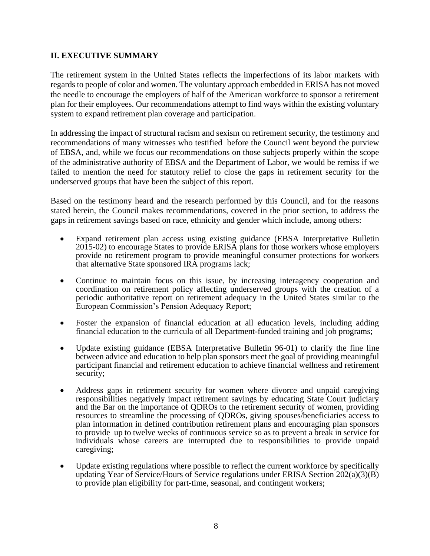## **II. EXECUTIVE SUMMARY**

The retirement system in the United States reflects the imperfections of its labor markets with regards to people of color and women. The voluntary approach embedded in ERISA has not moved the needle to encourage the employers of half of the American workforce to sponsor a retirement plan for their employees. Our recommendations attempt to find ways within the existing voluntary system to expand retirement plan coverage and participation.

In addressing the impact of structural racism and sexism on retirement security, the testimony and recommendations of many witnesses who testified before the Council went beyond the purview of EBSA, and, while we focus our recommendations on those subjects properly within the scope of the administrative authority of EBSA and the Department of Labor, we would be remiss if we failed to mention the need for statutory relief to close the gaps in retirement security for the underserved groups that have been the subject of this report.

Based on the testimony heard and the research performed by this Council, and for the reasons stated herein, the Council makes recommendations, covered in the prior section, to address the gaps in retirement savings based on race, ethnicity and gender which include, among others:

- Expand retirement plan access using existing guidance (EBSA Interpretative Bulletin 2015-02) to encourage States to provide ERISA plans for those workers whose employers provide no retirement program to provide meaningful consumer protections for workers that alternative State sponsored IRA programs lack;
- Continue to maintain focus on this issue, by increasing interagency cooperation and coordination on retirement policy affecting underserved groups with the creation of a periodic authoritative report on retirement adequacy in the United States similar to the European Commission's Pension Adequacy Report;
- Foster the expansion of financial education at all education levels, including adding financial education to the curricula of all Department-funded training and job programs;
- Update existing guidance (EBSA Interpretative Bulletin 96-01) to clarify the fine line between advice and education to help plan sponsors meet the goal of providing meaningful participant financial and retirement education to achieve financial wellness and retirement security;
- Address gaps in retirement security for women where divorce and unpaid caregiving responsibilities negatively impact retirement savings by educating State Court judiciary and the Bar on the importance of QDROs to the retirement security of women, providing resources to streamline the processing of QDROs, giving spouses/beneficiaries access to plan information in defined contribution retirement plans and encouraging plan sponsors to provide up to twelve weeks of continuous service so as to prevent a break in service for individuals whose careers are interrupted due to responsibilities to provide unpaid caregiving;
- Update existing regulations where possible to reflect the current workforce by specifically updating Year of Service/Hours of Service regulations under ERISA Section  $202(a)(3)(B)$ to provide plan eligibility for part-time, seasonal, and contingent workers;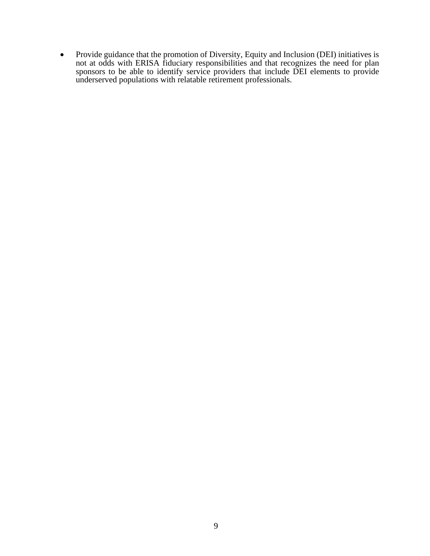• Provide guidance that the promotion of Diversity, Equity and Inclusion (DEI) initiatives is not at odds with ERISA fiduciary responsibilities and that recognizes the need for plan sponsors to be able to identify service providers that include DEI elements to provide underserved populations with relatable retirement professionals.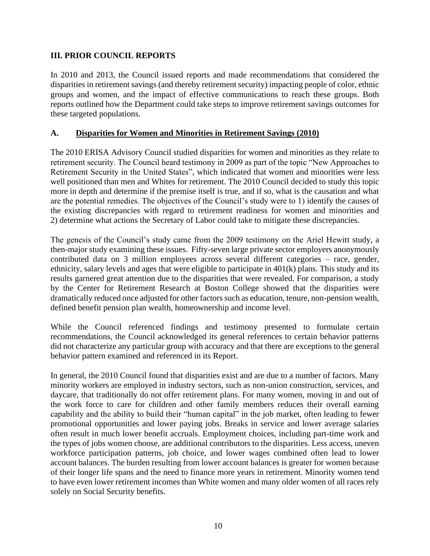## **III. PRIOR COUNCIL REPORTS**

In 2010 and 2013, the Council issued reports and made recommendations that considered the disparities in retirement savings (and thereby retirement security) impacting people of color, ethnic groups and women, and the impact of effective communications to reach these groups. Both reports outlined how the Department could take steps to improve retirement savings outcomes for these targeted populations.

## **A. Disparities for Women and Minorities in Retirement Savings (2010)**

The 2010 ERISA Advisory Council studied disparities for women and minorities as they relate to retirement security. The Council heard testimony in 2009 as part of the topic "New Approaches to Retirement Security in the United States", which indicated that women and minorities were less well positioned than men and Whites for retirement. The 2010 Council decided to study this topic more in depth and determine if the premise itself is true, and if so, what is the causation and what are the potential remedies. The objectives of the Council's study were to 1) identify the causes of the existing discrepancies with regard to retirement readiness for women and minorities and 2) determine what actions the Secretary of Labor could take to mitigate these discrepancies.

The genesis of the Council's study came from the 2009 testimony on the Ariel Hewitt study, a then-major study examining these issues. Fifty-seven large private sector employers anonymously contributed data on 3 million employees across several different categories – race, gender, ethnicity, salary levels and ages that were eligible to participate in 401(k) plans. This study and its results garnered great attention due to the disparities that were revealed. For comparison, a study by the Center for Retirement Research at Boston College showed that the disparities were dramatically reduced once adjusted for other factors such as education, tenure, non-pension wealth, defined benefit pension plan wealth, homeownership and income level.

While the Council referenced findings and testimony presented to formulate certain recommendations, the Council acknowledged its general references to certain behavior patterns did not characterize any particular group with accuracy and that there are exceptions to the general behavior pattern examined and referenced in its Report.

In general, the 2010 Council found that disparities exist and are due to a number of factors. Many minority workers are employed in industry sectors, such as non-union construction, services, and daycare, that traditionally do not offer retirement plans. For many women, moving in and out of the work force to care for children and other family members reduces their overall earning capability and the ability to build their "human capital" in the job market, often leading to fewer promotional opportunities and lower paying jobs. Breaks in service and lower average salaries often result in much lower benefit accruals. Employment choices, including part-time work and the types of jobs women choose, are additional contributors to the disparities. Less access, uneven workforce participation patterns, job choice, and lower wages combined often lead to lower account balances. The burden resulting from lower account balances is greater for women because of their longer life spans and the need to finance more years in retirement. Minority women tend to have even lower retirement incomes than White women and many older women of all races rely solely on Social Security benefits.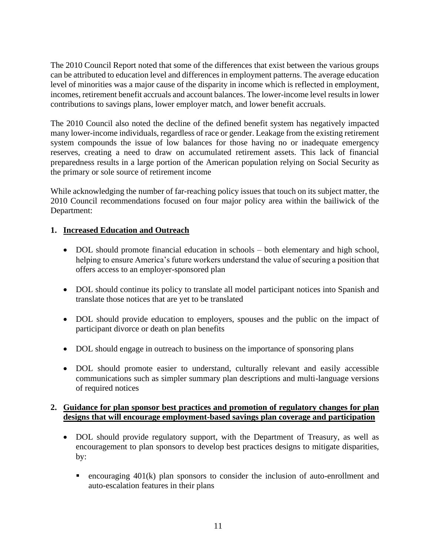The 2010 Council Report noted that some of the differences that exist between the various groups can be attributed to education level and differences in employment patterns. The average education level of minorities was a major cause of the disparity in income which is reflected in employment, incomes, retirement benefit accruals and account balances. The lower-income level results in lower contributions to savings plans, lower employer match, and lower benefit accruals.

The 2010 Council also noted the decline of the defined benefit system has negatively impacted many lower-income individuals, regardless of race or gender. Leakage from the existing retirement system compounds the issue of low balances for those having no or inadequate emergency reserves, creating a need to draw on accumulated retirement assets. This lack of financial preparedness results in a large portion of the American population relying on Social Security as the primary or sole source of retirement income

While acknowledging the number of far-reaching policy issues that touch on its subject matter, the 2010 Council recommendations focused on four major policy area within the bailiwick of the Department:

## **1. Increased Education and Outreach**

- DOL should promote financial education in schools both elementary and high school, helping to ensure America's future workers understand the value of securing a position that offers access to an employer-sponsored plan
- DOL should continue its policy to translate all model participant notices into Spanish and translate those notices that are yet to be translated
- DOL should provide education to employers, spouses and the public on the impact of participant divorce or death on plan benefits
- DOL should engage in outreach to business on the importance of sponsoring plans
- DOL should promote easier to understand, culturally relevant and easily accessible communications such as simpler summary plan descriptions and multi-language versions of required notices

## **2. Guidance for plan sponsor best practices and promotion of regulatory changes for plan designs that will encourage employment-based savings plan coverage and participation**

- DOL should provide regulatory support, with the Department of Treasury, as well as encouragement to plan sponsors to develop best practices designs to mitigate disparities, by:
	- $\blacksquare$  encouraging 401(k) plan sponsors to consider the inclusion of auto-enrollment and auto-escalation features in their plans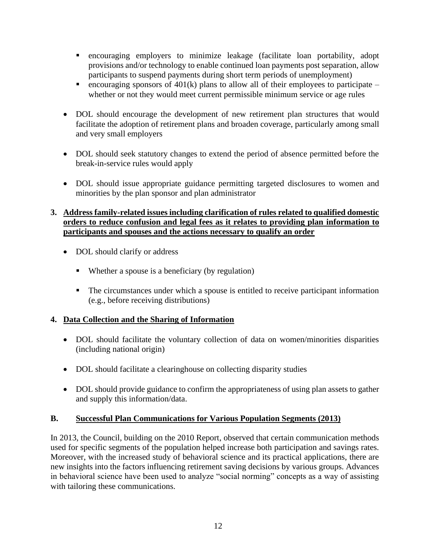- encouraging employers to minimize leakage (facilitate loan portability, adopt provisions and/or technology to enable continued loan payments post separation, allow participants to suspend payments during short term periods of unemployment)
- **•** encouraging sponsors of 401(k) plans to allow all of their employees to participate whether or not they would meet current permissible minimum service or age rules
- DOL should encourage the development of new retirement plan structures that would facilitate the adoption of retirement plans and broaden coverage, particularly among small and very small employers
- DOL should seek statutory changes to extend the period of absence permitted before the break-in-service rules would apply
- DOL should issue appropriate guidance permitting targeted disclosures to women and minorities by the plan sponsor and plan administrator

## **3. Address family-related issues including clarification of rules related to qualified domestic orders to reduce confusion and legal fees as it relates to providing plan information to participants and spouses and the actions necessary to qualify an order**

- DOL should clarify or address
	- Whether a spouse is a beneficiary (by regulation)
	- The circumstances under which a spouse is entitled to receive participant information (e.g., before receiving distributions)

## **4. Data Collection and the Sharing of Information**

- DOL should facilitate the voluntary collection of data on women/minorities disparities (including national origin)
- DOL should facilitate a clearinghouse on collecting disparity studies
- DOL should provide guidance to confirm the appropriateness of using plan assets to gather and supply this information/data.

## **B. Successful Plan Communications for Various Population Segments (2013)**

In 2013, the Council, building on the 2010 Report, observed that certain communication methods used for specific segments of the population helped increase both participation and savings rates. Moreover, with the increased study of behavioral science and its practical applications, there are new insights into the factors influencing retirement saving decisions by various groups. Advances in behavioral science have been used to analyze "social norming" concepts as a way of assisting with tailoring these communications.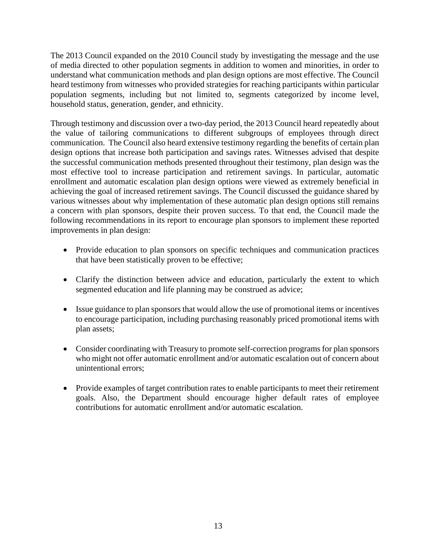The 2013 Council expanded on the 2010 Council study by investigating the message and the use of media directed to other population segments in addition to women and minorities, in order to understand what communication methods and plan design options are most effective. The Council heard testimony from witnesses who provided strategies for reaching participants within particular population segments, including but not limited to, segments categorized by income level, household status, generation, gender, and ethnicity.

Through testimony and discussion over a two-day period, the 2013 Council heard repeatedly about the value of tailoring communications to different subgroups of employees through direct communication. The Council also heard extensive testimony regarding the benefits of certain plan design options that increase both participation and savings rates. Witnesses advised that despite the successful communication methods presented throughout their testimony, plan design was the most effective tool to increase participation and retirement savings. In particular, automatic enrollment and automatic escalation plan design options were viewed as extremely beneficial in achieving the goal of increased retirement savings. The Council discussed the guidance shared by various witnesses about why implementation of these automatic plan design options still remains a concern with plan sponsors, despite their proven success. To that end, the Council made the following recommendations in its report to encourage plan sponsors to implement these reported improvements in plan design:

- Provide education to plan sponsors on specific techniques and communication practices that have been statistically proven to be effective;
- Clarify the distinction between advice and education, particularly the extent to which segmented education and life planning may be construed as advice;
- Issue guidance to plan sponsors that would allow the use of promotional items or incentives to encourage participation, including purchasing reasonably priced promotional items with plan assets;
- Consider coordinating with Treasury to promote self-correction programs for plan sponsors who might not offer automatic enrollment and/or automatic escalation out of concern about unintentional errors;
- Provide examples of target contribution rates to enable participants to meet their retirement goals. Also, the Department should encourage higher default rates of employee contributions for automatic enrollment and/or automatic escalation.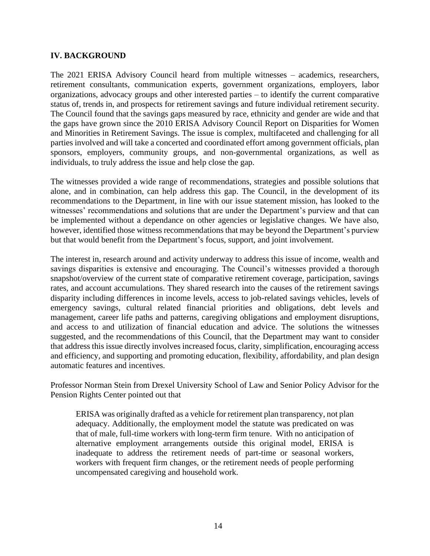#### **IV. BACKGROUND**

The 2021 ERISA Advisory Council heard from multiple witnesses – academics, researchers, retirement consultants, communication experts, government organizations, employers, labor organizations, advocacy groups and other interested parties – to identify the current comparative status of, trends in, and prospects for retirement savings and future individual retirement security. The Council found that the savings gaps measured by race, ethnicity and gender are wide and that the gaps have grown since the 2010 ERISA Advisory Council Report on Disparities for Women and Minorities in Retirement Savings. The issue is complex, multifaceted and challenging for all parties involved and will take a concerted and coordinated effort among government officials, plan sponsors, employers, community groups, and non-governmental organizations, as well as individuals, to truly address the issue and help close the gap.

The witnesses provided a wide range of recommendations, strategies and possible solutions that alone, and in combination, can help address this gap. The Council, in the development of its recommendations to the Department, in line with our issue statement mission, has looked to the witnesses' recommendations and solutions that are under the Department's purview and that can be implemented without a dependance on other agencies or legislative changes. We have also, however, identified those witness recommendations that may be beyond the Department's purview but that would benefit from the Department's focus, support, and joint involvement.

The interest in, research around and activity underway to address this issue of income, wealth and savings disparities is extensive and encouraging. The Council's witnesses provided a thorough snapshot/overview of the current state of comparative retirement coverage, participation, savings rates, and account accumulations. They shared research into the causes of the retirement savings disparity including differences in income levels, access to job-related savings vehicles, levels of emergency savings, cultural related financial priorities and obligations, debt levels and management, career life paths and patterns, caregiving obligations and employment disruptions, and access to and utilization of financial education and advice. The solutions the witnesses suggested, and the recommendations of this Council, that the Department may want to consider that address this issue directly involves increased focus, clarity, simplification, encouraging access and efficiency, and supporting and promoting education, flexibility, affordability, and plan design automatic features and incentives.

Professor Norman Stein from Drexel University School of Law and Senior Policy Advisor for the Pension Rights Center pointed out that

ERISA was originally drafted as a vehicle for retirement plan transparency, not plan adequacy. Additionally, the employment model the statute was predicated on was that of male, full-time workers with long-term firm tenure. With no anticipation of alternative employment arrangements outside this original model, ERISA is inadequate to address the retirement needs of part-time or seasonal workers, workers with frequent firm changes, or the retirement needs of people performing uncompensated caregiving and household work.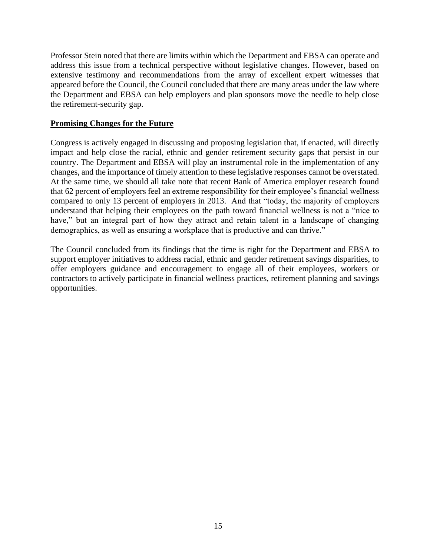Professor Stein noted that there are limits within which the Department and EBSA can operate and address this issue from a technical perspective without legislative changes. However, based on extensive testimony and recommendations from the array of excellent expert witnesses that appeared before the Council, the Council concluded that there are many areas under the law where the Department and EBSA can help employers and plan sponsors move the needle to help close the retirement-security gap.

#### **Promising Changes for the Future**

Congress is actively engaged in discussing and proposing legislation that, if enacted, will directly impact and help close the racial, ethnic and gender retirement security gaps that persist in our country. The Department and EBSA will play an instrumental role in the implementation of any changes, and the importance of timely attention to these legislative responses cannot be overstated. At the same time, we should all take note that recent Bank of America employer research found that 62 percent of employers feel an extreme responsibility for their employee's financial wellness compared to only 13 percent of employers in 2013. And that "today, the majority of employers understand that helping their employees on the path toward financial wellness is not a "nice to have," but an integral part of how they attract and retain talent in a landscape of changing demographics, as well as ensuring a workplace that is productive and can thrive."

The Council concluded from its findings that the time is right for the Department and EBSA to support employer initiatives to address racial, ethnic and gender retirement savings disparities, to offer employers guidance and encouragement to engage all of their employees, workers or contractors to actively participate in financial wellness practices, retirement planning and savings opportunities.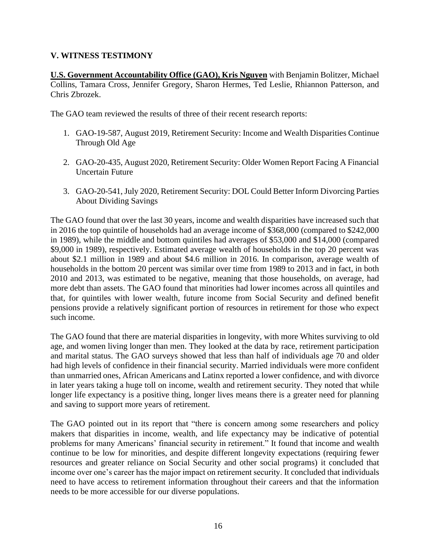## **V. WITNESS TESTIMONY**

**U.S. Government Accountability Office (GAO), Kris Nguyen** with Benjamin Bolitzer, Michael Collins, Tamara Cross, Jennifer Gregory, Sharon Hermes, Ted Leslie, Rhiannon Patterson, and Chris Zbrozek.

The GAO team reviewed the results of three of their recent research reports:

- 1. [GAO-19-587, August 2019, Retirement Security: Income and Wealth Disparities Continue](https://www.gao.gov/assets/gao-19-587.pdf)  [Through Old Age](https://www.gao.gov/assets/gao-19-587.pdf)
- 2. [GAO-20-435, August 2020, Retirement Security: Older Women Report Facing A Financial](https://www.gao.gov/assets/gao-20-435.pdf)  [Uncertain Future](https://www.gao.gov/assets/gao-20-435.pdf)
- 3. [GAO-20-541, July 2020, Retirement Security: DOL Could Better Inform Divorcing Parties](https://www.gao.gov/assets/gao-20-541.pdf)  [About Dividing Savings](https://www.gao.gov/assets/gao-20-541.pdf)

The GAO found that over the last 30 years, income and wealth disparities have increased such that in 2016 the top quintile of households had an average income of \$368,000 (compared to \$242,000 in 1989), while the middle and bottom quintiles had averages of \$53,000 and \$14,000 (compared \$9,000 in 1989), respectively. Estimated average wealth of households in the top 20 percent was about \$2.1 million in 1989 and about \$4.6 million in 2016. In comparison, average wealth of households in the bottom 20 percent was similar over time from 1989 to 2013 and in fact, in both 2010 and 2013, was estimated to be negative, meaning that those households, on average, had more debt than assets. The GAO found that minorities had lower incomes across all quintiles and that, for quintiles with lower wealth, future income from Social Security and defined benefit pensions provide a relatively significant portion of resources in retirement for those who expect such income.

The GAO found that there are material disparities in longevity, with more Whites surviving to old age, and women living longer than men. They looked at the data by race, retirement participation and marital status. The GAO surveys showed that less than half of individuals age 70 and older had high levels of confidence in their financial security. Married individuals were more confident than unmarried ones, African Americans and Latinx reported a lower confidence, and with divorce in later years taking a huge toll on income, wealth and retirement security. They noted that while longer life expectancy is a positive thing, longer lives means there is a greater need for planning and saving to support more years of retirement.

The GAO pointed out in its report that "there is concern among some researchers and policy makers that disparities in income, wealth, and life expectancy may be indicative of potential problems for many Americans' financial security in retirement." It found that income and wealth continue to be low for minorities, and despite different longevity expectations (requiring fewer resources and greater reliance on Social Security and other social programs) it concluded that income over one's career has the major impact on retirement security. It concluded that individuals need to have access to retirement information throughout their careers and that the information needs to be more accessible for our diverse populations.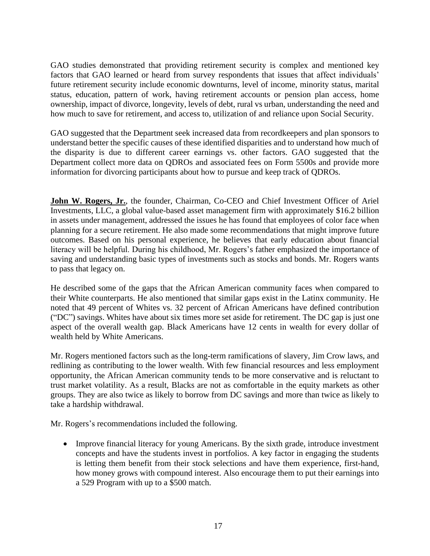GAO studies demonstrated that providing retirement security is complex and mentioned key factors that GAO learned or heard from survey respondents that issues that affect individuals' future retirement security include economic downturns, level of income, minority status, marital status, education, pattern of work, having retirement accounts or pension plan access, home ownership, impact of divorce, longevity, levels of debt, rural vs urban, understanding the need and how much to save for retirement, and access to, utilization of and reliance upon Social Security.

GAO suggested that the Department seek increased data from recordkeepers and plan sponsors to understand better the specific causes of these identified disparities and to understand how much of the disparity is due to different career earnings vs. other factors. GAO suggested that the Department collect more data on QDROs and associated fees on Form 5500s and provide more information for divorcing participants about how to pursue and keep track of QDROs.

**John W. Rogers, Jr.**, the founder, Chairman, Co-CEO and Chief Investment Officer of Ariel Investments, LLC, a global value-based asset management firm with approximately \$16.2 billion in assets under management, addressed the issues he has found that employees of color face when planning for a secure retirement. He also made some recommendations that might improve future outcomes. Based on his personal experience, he believes that early education about financial literacy will be helpful. During his childhood, Mr. Rogers's father emphasized the importance of saving and understanding basic types of investments such as stocks and bonds. Mr. Rogers wants to pass that legacy on.

He described some of the gaps that the African American community faces when compared to their White counterparts. He also mentioned that similar gaps exist in the Latinx community. He noted that 49 percent of Whites vs. 32 percent of African Americans have defined contribution ("DC") savings. Whites have about six times more set aside for retirement. The DC gap is just one aspect of the overall wealth gap. Black Americans have 12 cents in wealth for every dollar of wealth held by White Americans.

Mr. Rogers mentioned factors such as the long-term ramifications of slavery, Jim Crow laws, and redlining as contributing to the lower wealth. With few financial resources and less employment opportunity, the African American community tends to be more conservative and is reluctant to trust market volatility. As a result, Blacks are not as comfortable in the equity markets as other groups. They are also twice as likely to borrow from DC savings and more than twice as likely to take a hardship withdrawal.

Mr. Rogers's recommendations included the following.

• Improve financial literacy for young Americans. By the sixth grade, introduce investment concepts and have the students invest in portfolios. A key factor in engaging the students is letting them benefit from their stock selections and have them experience, first-hand, how money grows with compound interest. Also encourage them to put their earnings into a 529 Program with up to a \$500 match.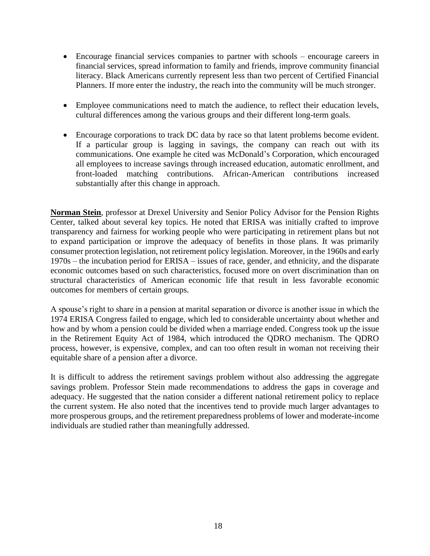- Encourage financial services companies to partner with schools encourage careers in financial services, spread information to family and friends, improve community financial literacy. Black Americans currently represent less than two percent of Certified Financial Planners. If more enter the industry, the reach into the community will be much stronger.
- Employee communications need to match the audience, to reflect their education levels, cultural differences among the various groups and their different long-term goals.
- Encourage corporations to track DC data by race so that latent problems become evident. If a particular group is lagging in savings, the company can reach out with its communications. One example he cited was McDonald's Corporation, which encouraged all employees to increase savings through increased education, automatic enrollment, and front-loaded matching contributions. African-American contributions increased substantially after this change in approach.

**Norman Stein**, professor at Drexel University and Senior Policy Advisor for the Pension Rights Center, talked about several key topics. He noted that ERISA was initially crafted to improve transparency and fairness for working people who were participating in retirement plans but not to expand participation or improve the adequacy of benefits in those plans. It was primarily consumer protection legislation, not retirement policy legislation. Moreover, in the 1960s and early 1970s – the incubation period for ERISA – issues of race, gender, and ethnicity, and the disparate economic outcomes based on such characteristics, focused more on overt discrimination than on structural characteristics of American economic life that result in less favorable economic outcomes for members of certain groups.

A spouse's right to share in a pension at marital separation or divorce is another issue in which the 1974 ERISA Congress failed to engage, which led to considerable uncertainty about whether and how and by whom a pension could be divided when a marriage ended. Congress took up the issue in the Retirement Equity Act of 1984, which introduced the QDRO mechanism. The QDRO process, however, is expensive, complex, and can too often result in woman not receiving their equitable share of a pension after a divorce.

It is difficult to address the retirement savings problem without also addressing the aggregate savings problem. Professor Stein made recommendations to address the gaps in coverage and adequacy. He suggested that the nation consider a different national retirement policy to replace the current system. He also noted that the incentives tend to provide much larger advantages to more prosperous groups, and the retirement preparedness problems of lower and moderate-income individuals are studied rather than meaningfully addressed.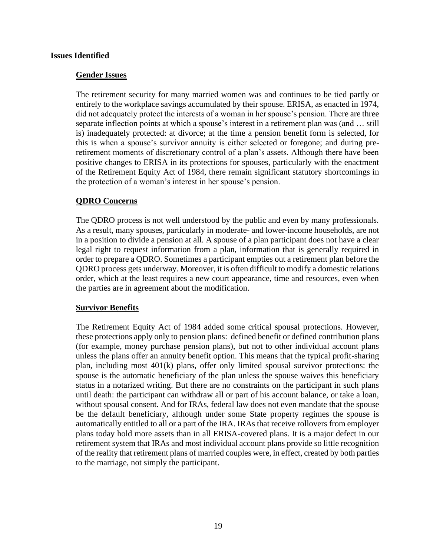#### **Issues Identified**

#### **Gender Issues**

The retirement security for many married women was and continues to be tied partly or entirely to the workplace savings accumulated by their spouse. ERISA, as enacted in 1974, did not adequately protect the interests of a woman in her spouse's pension. There are three separate inflection points at which a spouse's interest in a retirement plan was (and … still is) inadequately protected: at divorce; at the time a pension benefit form is selected, for this is when a spouse's survivor annuity is either selected or foregone; and during preretirement moments of discretionary control of a plan's assets. Although there have been positive changes to ERISA in its protections for spouses, particularly with the enactment of the Retirement Equity Act of 1984, there remain significant statutory shortcomings in the protection of a woman's interest in her spouse's pension.

#### **QDRO Concerns**

The QDRO process is not well understood by the public and even by many professionals. As a result, many spouses, particularly in moderate- and lower-income households, are not in a position to divide a pension at all. A spouse of a plan participant does not have a clear legal right to request information from a plan, information that is generally required in order to prepare a QDRO. Sometimes a participant empties out a retirement plan before the QDRO process gets underway. Moreover, it is often difficult to modify a domestic relations order, which at the least requires a new court appearance, time and resources, even when the parties are in agreement about the modification.

#### **Survivor Benefits**

The Retirement Equity Act of 1984 added some critical spousal protections. However, these protections apply only to pension plans: defined benefit or defined contribution plans (for example, money purchase pension plans), but not to other individual account plans unless the plans offer an annuity benefit option. This means that the typical profit-sharing plan, including most 401(k) plans, offer only limited spousal survivor protections: the spouse is the automatic beneficiary of the plan unless the spouse waives this beneficiary status in a notarized writing. But there are no constraints on the participant in such plans until death: the participant can withdraw all or part of his account balance, or take a loan, without spousal consent. And for IRAs, federal law does not even mandate that the spouse be the default beneficiary, although under some State property regimes the spouse is automatically entitled to all or a part of the IRA. IRAs that receive rollovers from employer plans today hold more assets than in all ERISA-covered plans. It is a major defect in our retirement system that IRAs and most individual account plans provide so little recognition of the reality that retirement plans of married couples were, in effect, created by both parties to the marriage, not simply the participant.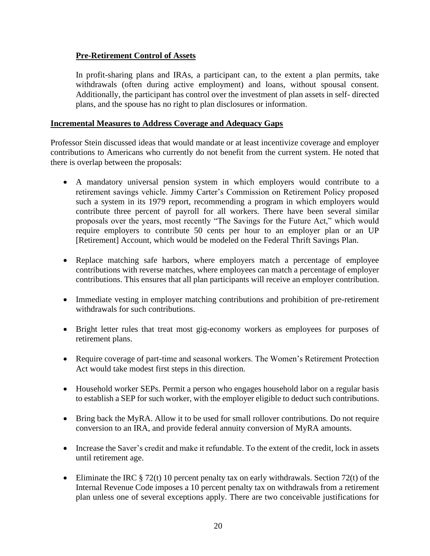## **Pre-Retirement Control of Assets**

In profit-sharing plans and IRAs, a participant can, to the extent a plan permits, take withdrawals (often during active employment) and loans, without spousal consent. Additionally, the participant has control over the investment of plan assets in self- directed plans, and the spouse has no right to plan disclosures or information.

#### **Incremental Measures to Address Coverage and Adequacy Gaps**

Professor Stein discussed ideas that would mandate or at least incentivize coverage and employer contributions to Americans who currently do not benefit from the current system. He noted that there is overlap between the proposals:

- A mandatory universal pension system in which employers would contribute to a retirement savings vehicle. Jimmy Carter's Commission on Retirement Policy proposed such a system in its 1979 report, recommending a program in which employers would contribute three percent of payroll for all workers. There have been several similar proposals over the years, most recently "The Savings for the Future Act," which would require employers to contribute 50 cents per hour to an employer plan or an UP [Retirement] Account, which would be modeled on the Federal Thrift Savings Plan.
- Replace matching safe harbors, where employers match a percentage of employee contributions with reverse matches, where employees can match a percentage of employer contributions. This ensures that all plan participants will receive an employer contribution.
- Immediate vesting in employer matching contributions and prohibition of pre-retirement withdrawals for such contributions.
- Bright letter rules that treat most gig-economy workers as employees for purposes of retirement plans.
- Require coverage of part-time and seasonal workers. The Women's Retirement Protection Act would take modest first steps in this direction.
- Household worker SEPs. Permit a person who engages household labor on a regular basis to establish a SEP for such worker, with the employer eligible to deduct such contributions.
- Bring back the MyRA. Allow it to be used for small rollover contributions. Do not require conversion to an IRA, and provide federal annuity conversion of MyRA amounts.
- Increase the Saver's credit and make it refundable. To the extent of the credit, lock in assets until retirement age.
- Eliminate the IRC  $\S 72(t)$  10 percent penalty tax on early withdrawals. Section 72(t) of the Internal Revenue Code imposes a 10 percent penalty tax on withdrawals from a retirement plan unless one of several exceptions apply. There are two conceivable justifications for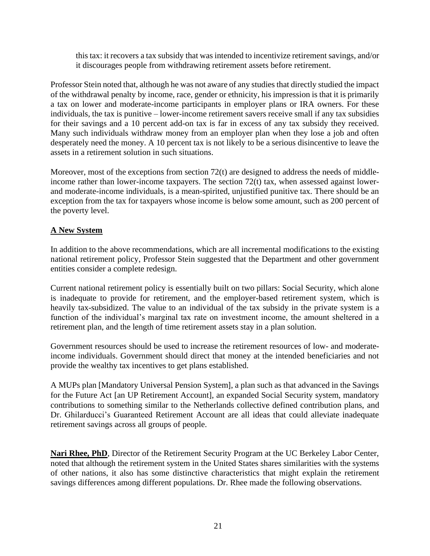this tax: it recovers a tax subsidy that was intended to incentivize retirement savings, and/or it discourages people from withdrawing retirement assets before retirement.

Professor Stein noted that, although he was not aware of any studies that directly studied the impact of the withdrawal penalty by income, race, gender or ethnicity, his impression is that it is primarily a tax on lower and moderate-income participants in employer plans or IRA owners. For these individuals, the tax is punitive – lower-income retirement savers receive small if any tax subsidies for their savings and a 10 percent add-on tax is far in excess of any tax subsidy they received. Many such individuals withdraw money from an employer plan when they lose a job and often desperately need the money. A 10 percent tax is not likely to be a serious disincentive to leave the assets in a retirement solution in such situations.

Moreover, most of the exceptions from section 72(t) are designed to address the needs of middleincome rather than lower-income taxpayers. The section 72(t) tax, when assessed against lowerand moderate-income individuals, is a mean-spirited, unjustified punitive tax. There should be an exception from the tax for taxpayers whose income is below some amount, such as 200 percent of the poverty level.

## **A New System**

In addition to the above recommendations, which are all incremental modifications to the existing national retirement policy, Professor Stein suggested that the Department and other government entities consider a complete redesign.

Current national retirement policy is essentially built on two pillars: Social Security, which alone is inadequate to provide for retirement, and the employer-based retirement system, which is heavily tax-subsidized. The value to an individual of the tax subsidy in the private system is a function of the individual's marginal tax rate on investment income, the amount sheltered in a retirement plan, and the length of time retirement assets stay in a plan solution.

Government resources should be used to increase the retirement resources of low- and moderateincome individuals. Government should direct that money at the intended beneficiaries and not provide the wealthy tax incentives to get plans established.

A MUPs plan [Mandatory Universal Pension System], a plan such as that advanced in the Savings for the Future Act [an UP Retirement Account], an expanded Social Security system, mandatory contributions to something similar to the Netherlands collective defined contribution plans, and Dr. Ghilarducci's Guaranteed Retirement Account are all ideas that could alleviate inadequate retirement savings across all groups of people.

**Nari Rhee, PhD**, Director of the Retirement Security Program at the UC Berkeley Labor Center, noted that although the retirement system in the United States shares similarities with the systems of other nations, it also has some distinctive characteristics that might explain the retirement savings differences among different populations. Dr. Rhee made the following observations.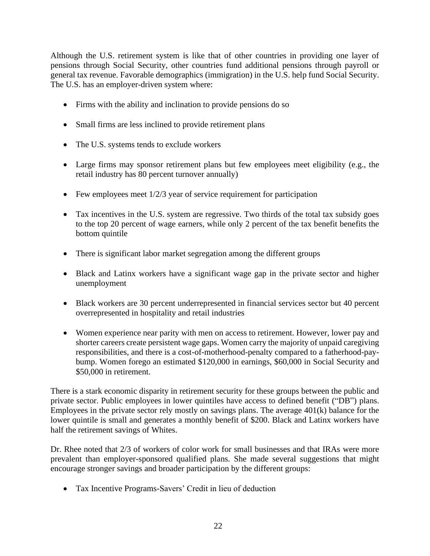Although the U.S. retirement system is like that of other countries in providing one layer of pensions through Social Security, other countries fund additional pensions through payroll or general tax revenue. Favorable demographics (immigration) in the U.S. help fund Social Security. The U.S. has an employer-driven system where:

- Firms with the ability and inclination to provide pensions do so
- Small firms are less inclined to provide retirement plans
- The U.S. systems tends to exclude workers
- Large firms may sponsor retirement plans but few employees meet eligibility (e.g., the retail industry has 80 percent turnover annually)
- Few employees meet  $1/2/3$  year of service requirement for participation
- Tax incentives in the U.S. system are regressive. Two thirds of the total tax subsidy goes to the top 20 percent of wage earners, while only 2 percent of the tax benefit benefits the bottom quintile
- There is significant labor market segregation among the different groups
- Black and Latinx workers have a significant wage gap in the private sector and higher unemployment
- Black workers are 30 percent underrepresented in financial services sector but 40 percent overrepresented in hospitality and retail industries
- Women experience near parity with men on access to retirement. However, lower pay and shorter careers create persistent wage gaps. Women carry the majority of unpaid caregiving responsibilities, and there is a cost-of-motherhood-penalty compared to a fatherhood-paybump. Women forego an estimated \$120,000 in earnings, \$60,000 in Social Security and \$50,000 in retirement.

There is a stark economic disparity in retirement security for these groups between the public and private sector. Public employees in lower quintiles have access to defined benefit ("DB") plans. Employees in the private sector rely mostly on savings plans. The average 401(k) balance for the lower quintile is small and generates a monthly benefit of \$200. Black and Latinx workers have half the retirement savings of Whites.

Dr. Rhee noted that 2/3 of workers of color work for small businesses and that IRAs were more prevalent than employer-sponsored qualified plans. She made several suggestions that might encourage stronger savings and broader participation by the different groups:

• Tax Incentive Programs-Savers' Credit in lieu of deduction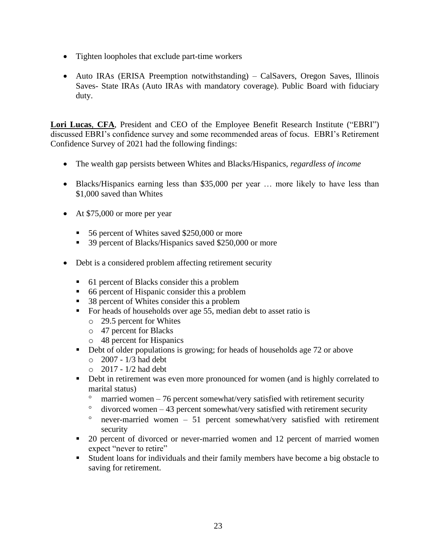- Tighten loopholes that exclude part-time workers
- Auto IRAs (ERISA Preemption notwithstanding) CalSavers, Oregon Saves, Illinois Saves- State IRAs (Auto IRAs with mandatory coverage). Public Board with fiduciary duty.

**Lori Lucas**, **CFA**, President and CEO of the Employee Benefit Research Institute ("EBRI") discussed EBRI's confidence survey and some recommended areas of focus. EBRI's Retirement Confidence Survey of 2021 had the following findings:

- The wealth gap persists between Whites and Blacks/Hispanics, *regardless of income*
- Blacks/Hispanics earning less than \$35,000 per year ... more likely to have less than \$1,000 saved than Whites
- At \$75,000 or more per year
	- 56 percent of Whites saved \$250,000 or more
	- 39 percent of Blacks/Hispanics saved \$250,000 or more
- Debt is a considered problem affecting retirement security
	- 61 percent of Blacks consider this a problem
	- 66 percent of Hispanic consider this a problem
	- 38 percent of Whites consider this a problem
	- For heads of households over age 55, median debt to asset ratio is
		- o 29.5 percent for Whites
		- o 47 percent for Blacks
		- o 48 percent for Hispanics
	- Debt of older populations is growing; for heads of households age 72 or above
		- $\circ$  2007 1/3 had debt
		- $\circ$  2017 1/2 had debt
	- **•** Debt in retirement was even more pronounced for women (and is highly correlated to marital status)
		- $\degree$  married women 76 percent somewhat/very satisfied with retirement security
		- $\degree$  divorced women 43 percent somewhat/very satisfied with retirement security
		- $\degree$  never-married women 51 percent somewhat/very satisfied with retirement security
	- 20 percent of divorced or never-married women and 12 percent of married women expect "never to retire"
	- Student loans for individuals and their family members have become a big obstacle to saving for retirement.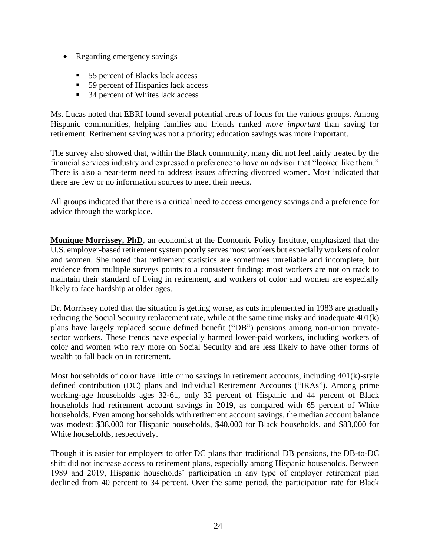- Regarding emergency savings—
	- 55 percent of Blacks lack access
	- 59 percent of Hispanics lack access
	- 34 percent of Whites lack access

Ms. Lucas noted that EBRI found several potential areas of focus for the various groups. Among Hispanic communities, helping families and friends ranked *more important* than saving for retirement. Retirement saving was not a priority; education savings was more important.

The survey also showed that, within the Black community, many did not feel fairly treated by the financial services industry and expressed a preference to have an advisor that "looked like them." There is also a near-term need to address issues affecting divorced women. Most indicated that there are few or no information sources to meet their needs.

All groups indicated that there is a critical need to access emergency savings and a preference for advice through the workplace.

**Monique Morrissey, PhD**, an economist at the Economic Policy Institute, emphasized that the U.S. employer-based retirement system poorly serves most workers but especially workers of color and women. She noted that retirement statistics are sometimes unreliable and incomplete, but evidence from multiple surveys points to a consistent finding: most workers are not on track to maintain their standard of living in retirement, and workers of color and women are especially likely to face hardship at older ages.

Dr. Morrissey noted that the situation is getting worse, as cuts implemented in 1983 are gradually reducing the Social Security replacement rate, while at the same time risky and inadequate 401(k) plans have largely replaced secure defined benefit ("DB") pensions among non-union privatesector workers. These trends have especially harmed lower-paid workers, including workers of color and women who rely more on Social Security and are less likely to have other forms of wealth to fall back on in retirement.

Most households of color have little or no savings in retirement accounts, including 401(k)-style defined contribution (DC) plans and Individual Retirement Accounts ("IRAs"). Among prime working-age households ages 32-61, only 32 percent of Hispanic and 44 percent of Black households had retirement account savings in 2019, as compared with 65 percent of White households. Even among households with retirement account savings, the median account balance was modest: \$38,000 for Hispanic households, \$40,000 for Black households, and \$83,000 for White households, respectively.

Though it is easier for employers to offer DC plans than traditional DB pensions, the DB-to-DC shift did not increase access to retirement plans, especially among Hispanic households. Between 1989 and 2019, Hispanic households' participation in any type of employer retirement plan declined from 40 percent to 34 percent. Over the same period, the participation rate for Black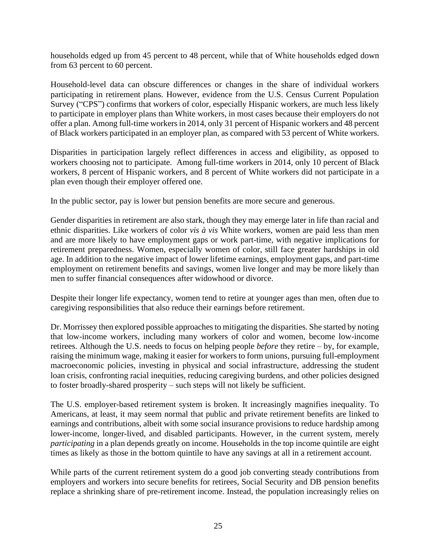households edged up from 45 percent to 48 percent, while that of White households edged down from 63 percent to 60 percent.

Household-level data can obscure differences or changes in the share of individual workers participating in retirement plans. However, evidence from the U.S. Census Current Population Survey ("CPS") confirms that workers of color, especially Hispanic workers, are much less likely to participate in employer plans than White workers, in most cases because their employers do not offer a plan. Among full-time workers in 2014, only 31 percent of Hispanic workers and 48 percent of Black workers participated in an employer plan, as compared with 53 percent of White workers.

Disparities in participation largely reflect differences in access and eligibility, as opposed to workers choosing not to participate. Among full-time workers in 2014, only 10 percent of Black workers, 8 percent of Hispanic workers, and 8 percent of White workers did not participate in a plan even though their employer offered one.

In the public sector, pay is lower but pension benefits are more secure and generous.

Gender disparities in retirement are also stark, though they may emerge later in life than racial and ethnic disparities. Like workers of color *vis à vis* White workers, women are paid less than men and are more likely to have employment gaps or work part-time, with negative implications for retirement preparedness. Women, especially women of color, still face greater hardships in old age. In addition to the negative impact of lower lifetime earnings, employment gaps, and part-time employment on retirement benefits and savings, women live longer and may be more likely than men to suffer financial consequences after widowhood or divorce.

Despite their longer life expectancy, women tend to retire at younger ages than men, often due to caregiving responsibilities that also reduce their earnings before retirement.

Dr. Morrissey then explored possible approaches to mitigating the disparities. She started by noting that low-income workers, including many workers of color and women, become low-income retirees. Although the U.S. needs to focus on helping people *before* they retire – by, for example, raising the minimum wage, making it easier for workers to form unions, pursuing full-employment macroeconomic policies, investing in physical and social infrastructure, addressing the student loan crisis, confronting racial inequities, reducing caregiving burdens, and other policies designed to foster broadly-shared prosperity – such steps will not likely be sufficient.

The U.S. employer-based retirement system is broken. It increasingly magnifies inequality. To Americans, at least, it may seem normal that public and private retirement benefits are linked to earnings and contributions, albeit with some social insurance provisions to reduce hardship among lower-income, longer-lived, and disabled participants. However, in the current system, merely *participating* in a plan depends greatly on income. Households in the top income quintile are eight times as likely as those in the bottom quintile to have any savings at all in a retirement account[.](applewebdata://9E1CABD6-1E1F-4894-A6BB-3BB571B5E084/#_ftn9)

While parts of the current retirement system do a good job converting steady contributions from employers and workers into secure benefits for retirees, Social Security and DB pension benefits replace a shrinking share of pre-retirement income. Instead, the population increasingly relies on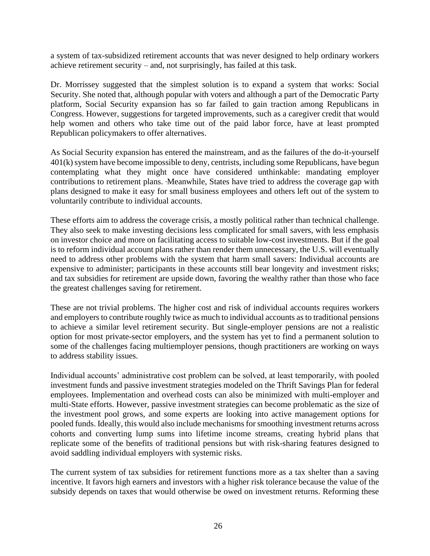a system of tax-subsidized retirement accounts that was never designed to help ordinary workers achieve retirement security – and, not surprisingly, has failed at this task.

Dr. Morrissey suggested that the simplest solution is to expand a system that works: Social Security. She noted that, although popular with voters and although a part of the Democratic Party platform, Social Security expansion has so far failed to gain traction among Republicans in Congress. However, suggestions for targeted improvements, such as a caregiver credit that would help women and others who take time out of the paid labor force, have at least prompted Republican policymakers to offer alternatives.

As Social Security expansion has entered the mainstream, and as the failures of the do-it-yourself 401(k) system have become impossible to deny, centrists, including some Republicans, have begun contemplating what they might once have considered unthinkable: mandating employer contributions to retirement plans. Meanwhile, States have tried to address the coverage gap with plans designed to make it easy for small business employees and others left out of the system to voluntarily contribute to individual accounts.

These efforts aim to address the coverage crisis, a mostly political rather than technical challenge. They also seek to make investing decisions less complicated for small savers, with less emphasis on investor choice and more on facilitating access to suitable low-cost investments. But if the goal is to reform individual account plans rather than render them unnecessary, the U.S. will eventually need to address other problems with the system that harm small savers: Individual accounts are expensive to administer; participants in these accounts still bear longevity and investment risks; and tax subsidies for retirement are upside down, favoring the wealthy rather than those who face the greatest challenges saving for retirement.

These are not trivial problems. The higher cost and risk of individual accounts requires workers and employers to contribute roughly twice as much to individual accounts as to traditional pensions to achieve a similar level retirement security. But single-employer pensions are not a realistic option for most private-sector employers, and the system has yet to find a permanent solution to some of the challenges facing multiemployer pensions, though practitioners are working on ways to address stability issues.

Individual accounts' administrative cost problem can be solved, at least temporarily, with pooled investment funds and passive investment strategies modeled on the Thrift Savings Plan for federal employees. Implementation and overhead costs can also be minimized with multi-employer and multi-State efforts. However, passive investment strategies can become problematic as the size of the investment pool grows, and some experts are looking into active management options for pooled funds. Ideally, this would also include mechanisms for smoothing investment returns across cohorts and converting lump sums into lifetime income streams, creating hybrid plans that replicate some of the benefits of traditional pensions but with risk-sharing features designed to avoid saddling individual employers with systemic risks.

The current system of tax subsidies for retirement functions more as a tax shelter than a saving incentive. It favors high earners and investors with a higher risk tolerance because the value of the subsidy depends on taxes that would otherwise be owed on investment returns. Reforming these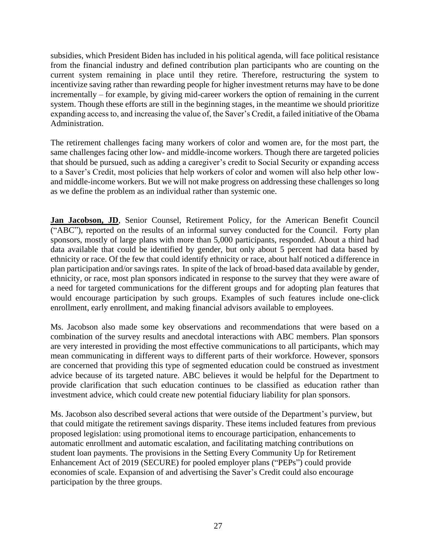subsidies, which President Biden has included in his political agenda, will face political resistance from the financial industry and defined contribution plan participants who are counting on the current system remaining in place until they retire. Therefore, restructuring the system to incentivize saving rather than rewarding people for higher investment returns may have to be done incrementally – for example, by giving mid-career workers the option of remaining in the current system. Though these efforts are still in the beginning stages, in the meantime we should prioritize expanding access to, and increasing the value of, the Saver's Credit, a failed initiative of the Obama Administration.

The retirement challenges facing many workers of color and women are, for the most part, the same challenges facing other low- and middle-income workers. Though there are targeted policies that should be pursued, such as adding a caregiver's credit to Social Security or expanding access to a Saver's Credit, most policies that help workers of color and women will also help other lowand middle-income workers. But we will not make progress on addressing these challenges so long as we define the problem as an individual rather than systemic one.

Jan Jacobson, JD, Senior Counsel, Retirement Policy, for the American Benefit Council ("ABC"), reported on the results of an informal survey conducted for the Council. Forty plan sponsors, mostly of large plans with more than 5,000 participants, responded. About a third had data available that could be identified by gender, but only about 5 percent had data based by ethnicity or race. Of the few that could identify ethnicity or race, about half noticed a difference in plan participation and/or savings rates. In spite of the lack of broad-based data available by gender, ethnicity, or race, most plan sponsors indicated in response to the survey that they were aware of a need for targeted communications for the different groups and for adopting plan features that would encourage participation by such groups. Examples of such features include one-click enrollment, early enrollment, and making financial advisors available to employees.

Ms. Jacobson also made some key observations and recommendations that were based on a combination of the survey results and anecdotal interactions with ABC members. Plan sponsors are very interested in providing the most effective communications to all participants, which may mean communicating in different ways to different parts of their workforce. However, sponsors are concerned that providing this type of segmented education could be construed as investment advice because of its targeted nature. ABC believes it would be helpful for the Department to provide clarification that such education continues to be classified as education rather than investment advice, which could create new potential fiduciary liability for plan sponsors.

Ms. Jacobson also described several actions that were outside of the Department's purview, but that could mitigate the retirement savings disparity. These items included features from previous proposed legislation: using promotional items to encourage participation, enhancements to automatic enrollment and automatic escalation, and facilitating matching contributions on student loan payments. The provisions in the Setting Every Community Up for Retirement Enhancement Act of 2019 (SECURE) for pooled employer plans ("PEPs") could provide economies of scale. Expansion of and advertising the Saver's Credit could also encourage participation by the three groups.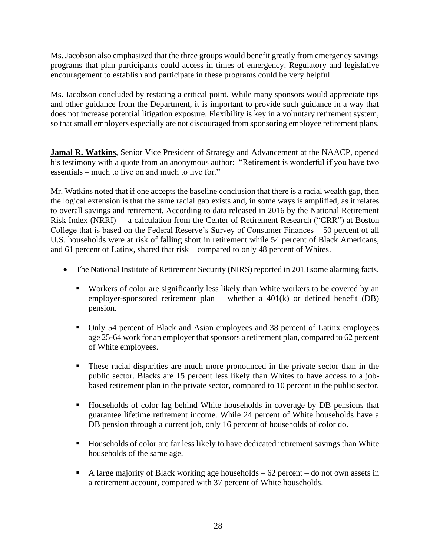Ms. Jacobson also emphasized that the three groups would benefit greatly from emergency savings programs that plan participants could access in times of emergency. Regulatory and legislative encouragement to establish and participate in these programs could be very helpful.

Ms. Jacobson concluded by restating a critical point. While many sponsors would appreciate tips and other guidance from the Department, it is important to provide such guidance in a way that does not increase potential litigation exposure. Flexibility is key in a voluntary retirement system, so that small employers especially are not discouraged from sponsoring employee retirement plans.

**Jamal R. Watkins**, Senior Vice President of Strategy and Advancement at the NAACP, opened his testimony with a quote from an anonymous author: "Retirement is wonderful if you have two essentials – much to live on and much to live for."

Mr. Watkins noted that if one accepts the baseline conclusion that there is a racial wealth gap, then the logical extension is that the same racial gap exists and, in some ways is amplified, as it relates to overall savings and retirement. According to data released in 2016 by the National Retirement Risk Index (NRRI) – a calculation from the Center of Retirement Research ("CRR") at Boston College that is based on the Federal Reserve's Survey of Consumer Finances – 50 percent of all U.S. households were at risk of falling short in retirement while 54 percent of Black Americans, and 61 percent of Latinx, shared that risk – compared to only 48 percent of Whites.

- The National Institute of Retirement Security (NIRS) reported in 2013 some alarming facts.
	- Workers of color are significantly less likely than White workers to be covered by an employer-sponsored retirement plan – whether a 401(k) or defined benefit (DB) pension.
	- Only 54 percent of Black and Asian employees and 38 percent of Latinx employees age 25-64 work for an employer that sponsors a retirement plan, compared to 62 percent of White employees.
	- These racial disparities are much more pronounced in the private sector than in the public sector. Blacks are 15 percent less likely than Whites to have access to a jobbased retirement plan in the private sector, compared to 10 percent in the public sector.
	- Households of color lag behind White households in coverage by DB pensions that guarantee lifetime retirement income. While 24 percent of White households have a DB pension through a current job, only 16 percent of households of color do.
	- Households of color are far less likely to have dedicated retirement savings than White households of the same age.
	- $\blacksquare$  A large majority of Black working age households 62 percent do not own assets in a retirement account, compared with 37 percent of White households.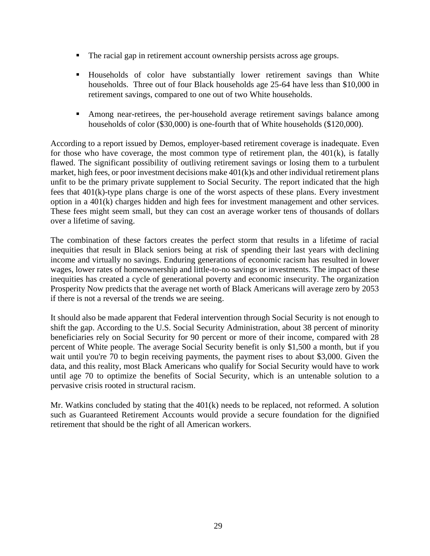- The racial gap in retirement account ownership persists across age groups.
- Households of color have substantially lower retirement savings than White households. Three out of four Black households age 25-64 have less than \$10,000 in retirement savings, compared to one out of two White households.
- Among near-retirees, the per-household average retirement savings balance among households of color (\$30,000) is one-fourth that of White households (\$120,000).

According to a report issued by Demos, employer-based retirement coverage is inadequate. Even for those who have coverage, the most common type of retirement plan, the  $401(k)$ , is fatally flawed. The significant possibility of outliving retirement savings or losing them to a turbulent market, high fees, or poor investment decisions make 401(k)s and other individual retirement plans unfit to be the primary private supplement to Social Security. The report indicated that the high fees that 401(k)-type plans charge is one of the worst aspects of these plans. Every investment option in a 401(k) charges hidden and high fees for investment management and other services. These fees might seem small, but they can cost an average worker tens of thousands of dollars over a lifetime of saving.

The combination of these factors creates the perfect storm that results in a lifetime of racial inequities that result in Black seniors being at risk of spending their last years with declining income and virtually no savings. Enduring generations of economic racism has resulted in lower wages, lower rates of homeownership and little-to-no savings or investments. The impact of these inequities has created a cycle of generational poverty and economic insecurity. The organization Prosperity Now predicts that the average net worth of Black Americans will average zero by 2053 if there is not a reversal of the trends we are seeing.

It should also be made apparent that Federal intervention through Social Security is not enough to shift the gap. According to the U.S. Social Security Administration, about 38 percent of minority beneficiaries rely on Social Security for 90 percent or more of their income, compared with 28 percent of White people. The average Social Security benefit is only \$1,500 a month, but if you wait until you're 70 to begin receiving payments, the payment rises to about \$3,000. Given the data, and this reality, most Black Americans who qualify for Social Security would have to work until age 70 to optimize the benefits of Social Security, which is an untenable solution to a pervasive crisis rooted in structural racism.

Mr. Watkins concluded by stating that the 401(k) needs to be replaced, not reformed. A solution such as Guaranteed Retirement Accounts would provide a secure foundation for the dignified retirement that should be the right of all American workers.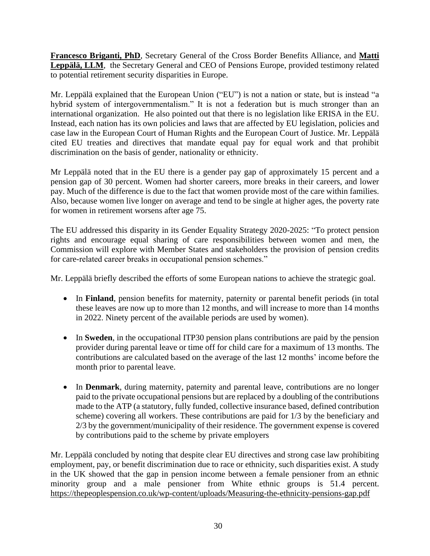**Francesco Briganti, PhD**, Secretary General of the Cross Border Benefits Alliance, and **Matti Leppälä, LLM**, the Secretary General and CEO of Pensions Europe, provided testimony related to potential retirement security disparities in Europe.

Mr. Leppälä explained that the European Union ("EU") is not a nation or state, but is instead "a hybrid system of intergovernmentalism." It is not a federation but is much stronger than an international organization. He also pointed out that there is no legislation like ERISA in the EU. Instead, each nation has its own policies and laws that are affected by EU legislation, policies and case law in the European Court of Human Rights and the European Court of Justice. Mr. Leppälä cited EU treaties and directives that mandate equal pay for equal work and that prohibit discrimination on the basis of gender, nationality or ethnicity.

Mr Leppälä noted that in the EU there is a gender pay gap of approximately 15 percent and a pension gap of 30 percent. Women had shorter careers, more breaks in their careers, and lower pay. Much of the difference is due to the fact that women provide most of the care within families. Also, because women live longer on average and tend to be single at higher ages, the poverty rate for women in retirement worsens after age 75.

The EU addressed this disparity in its Gender Equality Strategy 2020-2025: "To protect pension rights and encourage equal sharing of care responsibilities between women and men, the Commission will explore with Member States and stakeholders the provision of pension credits for care-related career breaks in occupational pension schemes."

Mr. Leppälä briefly described the efforts of some European nations to achieve the strategic goal.

- In **Finland**, pension benefits for maternity, paternity or parental benefit periods (in total these leaves are now up to more than 12 months, and will increase to more than 14 months in 2022. Ninety percent of the available periods are used by women).
- In **Sweden**, in the occupational ITP30 pension plans contributions are paid by the pension provider during parental leave or time off for child care for a maximum of 13 months. The contributions are calculated based on the average of the last 12 months' income before the month prior to parental leave.
- In **Denmark**, during maternity, paternity and parental leave, contributions are no longer paid to the private occupational pensions but are replaced by a doubling of the contributions made to the ATP (a statutory, fully funded, collective insurance based, defined contribution scheme) covering all workers. These contributions are paid for 1/3 by the beneficiary and 2/3 by the government/municipality of their residence. The government expense is covered by contributions paid to the scheme by private employers

Mr. Leppälä concluded by noting that despite clear EU directives and strong case law prohibiting employment, pay, or benefit discrimination due to race or ethnicity, such disparities exist. A study in the UK showed that the gap in pension income between a female pensioner from an ethnic minority group and a male pensioner from White ethnic groups is 51.4 percent. <https://thepeoplespension.co.uk/wp-content/uploads/Measuring-the-ethnicity-pensions-gap.pdf>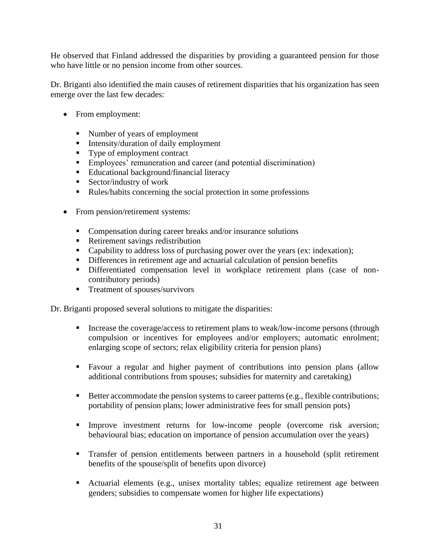He observed that Finland addressed the disparities by providing a guaranteed pension for those who have little or no pension income from other sources.

Dr. Briganti also identified the main causes of retirement disparities that his organization has seen emerge over the last few decades:

- From employment:
	- Number of years of employment
	- **■** Intensity/duration of daily employment
	- Type of employment contract
	- **Employees' remuneration and career (and potential discrimination)**
	- Educational background/financial literacy
	- Sector/industry of work
	- Rules/habits concerning the social protection in some professions
- From pension/retirement systems:
	- Compensation during career breaks and/or insurance solutions
	- Retirement savings redistribution
	- Capability to address loss of purchasing power over the years (ex: indexation);
	- **•** Differences in retirement age and actuarial calculation of pension benefits
	- Differentiated compensation level in workplace retirement plans (case of noncontributory periods)
	- **Treatment of spouses/survivors**

Dr. Briganti proposed several solutions to mitigate the disparities:

- **•** Increase the coverage/access to retirement plans to weak/low-income persons (through compulsion or incentives for employees and/or employers; automatic enrolment; enlarging scope of sectors; relax eligibility criteria for pension plans)
- Favour a regular and higher payment of contributions into pension plans (allow additional contributions from spouses; subsidies for maternity and caretaking)
- Better accommodate the pension systems to career patterns (e.g., flexible contributions; portability of pension plans; lower administrative fees for small pension pots)
- **Improve investment returns for low-income people (overcome risk aversion;** behavioural bias; education on importance of pension accumulation over the years)
- Transfer of pension entitlements between partners in a household (split retirement benefits of the spouse/split of benefits upon divorce)
- Actuarial elements (e.g., unisex mortality tables; equalize retirement age between genders; subsidies to compensate women for higher life expectations)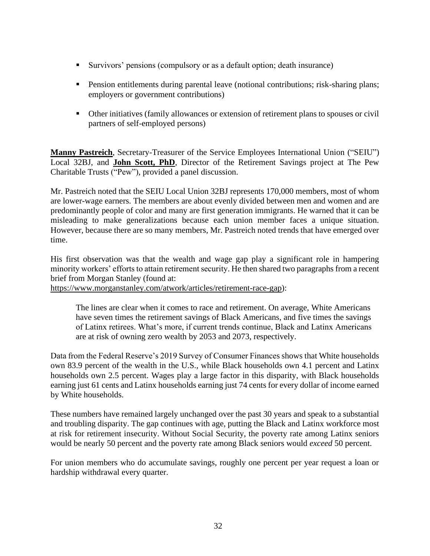- Survivors' pensions (compulsory or as a default option; death insurance)
- **•** Pension entitlements during parental leave (notional contributions; risk-sharing plans; employers or government contributions)
- Other initiatives (family allowances or extension of retirement plans to spouses or civil partners of self-employed persons)

**Manny Pastreich**, Secretary-Treasurer of the Service Employees International Union ("SEIU") Local 32BJ, and **John Scott, PhD**, Director of the Retirement Savings project at The Pew Charitable Trusts ("Pew"), provided a panel discussion.

Mr. Pastreich noted that the SEIU Local Union 32BJ represents 170,000 members, most of whom are lower-wage earners. The members are about evenly divided between men and women and are predominantly people of color and many are first generation immigrants. He warned that it can be misleading to make generalizations because each union member faces a unique situation. However, because there are so many members, Mr. Pastreich noted trends that have emerged over time.

His first observation was that the wealth and wage gap play a significant role in hampering minority workers' efforts to attain retirement security. He then shared two paragraphs from a recent brief from Morgan Stanley (found at:

[https://www.morganstanley.com/atwork/articles/retirement-race-gap\)](https://protect-us.mimecast.com/s/ZsNZCADQ8LTNon95hGfeOy):

The lines are clear when it comes to race and retirement. On average, White Americans have seven times the retirement savings of Black Americans, and five times the savings of Latinx retirees. What's more, if current trends continue, Black and Latinx Americans are at risk of owning zero wealth by 2053 and 2073, respectively.

Data from the Federal Reserve's 2019 Survey of Consumer Finances shows that White households own 83.9 percent of the wealth in the U.S., while Black households own 4.1 percent and Latinx households own 2.5 percent. Wages play a large factor in this disparity, with Black households earning just 61 cents and Latinx households earning just 74 cents for every dollar of income earned by White households.

These numbers have remained largely unchanged over the past 30 years and speak to a substantial and troubling disparity. The gap continues with age, putting the Black and Latinx workforce most at risk for retirement insecurity. Without Social Security, the poverty rate among Latinx seniors would be nearly 50 percent and the poverty rate among Black seniors would *exceed* 50 percent.

For union members who do accumulate savings, roughly one percent per year request a loan or hardship withdrawal every quarter.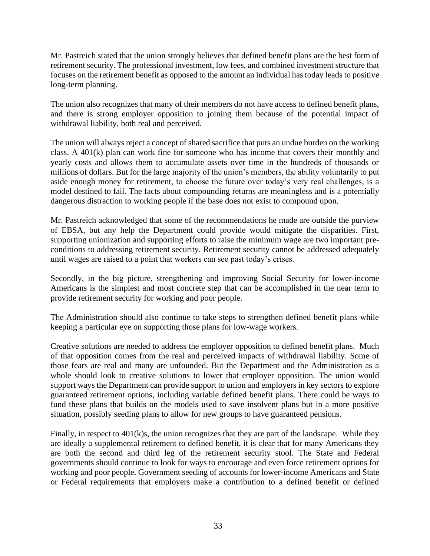Mr. Pastreich stated that the union strongly believes that defined benefit plans are the best form of retirement security. The professional investment, low fees, and combined investment structure that focuses on the retirement benefit as opposed to the amount an individual has today leads to positive long-term planning.

The union also recognizes that many of their members do not have access to defined benefit plans, and there is strong employer opposition to joining them because of the potential impact of withdrawal liability, both real and perceived.

The union will always reject a concept of shared sacrifice that puts an undue burden on the working class. A 401(k) plan can work fine for someone who has income that covers their monthly and yearly costs and allows them to accumulate assets over time in the hundreds of thousands or millions of dollars. But for the large majority of the union's members, the ability voluntarily to put aside enough money for retirement, to choose the future over today's very real challenges, is a model destined to fail. The facts about compounding returns are meaningless and is a potentially dangerous distraction to working people if the base does not exist to compound upon.

Mr. Pastreich acknowledged that some of the recommendations he made are outside the purview of EBSA, but any help the Department could provide would mitigate the disparities. First, supporting unionization and supporting efforts to raise the minimum wage are two important preconditions to addressing retirement security. Retirement security cannot be addressed adequately until wages are raised to a point that workers can see past today's crises.

Secondly, in the big picture, strengthening and improving Social Security for lower-income Americans is the simplest and most concrete step that can be accomplished in the near term to provide retirement security for working and poor people.

The Administration should also continue to take steps to strengthen defined benefit plans while keeping a particular eye on supporting those plans for low-wage workers.

Creative solutions are needed to address the employer opposition to defined benefit plans. Much of that opposition comes from the real and perceived impacts of withdrawal liability. Some of those fears are real and many are unfounded. But the Department and the Administration as a whole should look to creative solutions to lower that employer opposition. The union would support ways the Department can provide support to union and employers in key sectors to explore guaranteed retirement options, including variable defined benefit plans. There could be ways to fund these plans that builds on the models used to save insolvent plans but in a more positive situation, possibly seeding plans to allow for new groups to have guaranteed pensions.

Finally, in respect to 401(k)s, the union recognizes that they are part of the landscape. While they are ideally a supplemental retirement to defined benefit, it is clear that for many Americans they are both the second and third leg of the retirement security stool. The State and Federal governments should continue to look for ways to encourage and even force retirement options for working and poor people. Government seeding of accounts for lower-income Americans and State or Federal requirements that employers make a contribution to a defined benefit or defined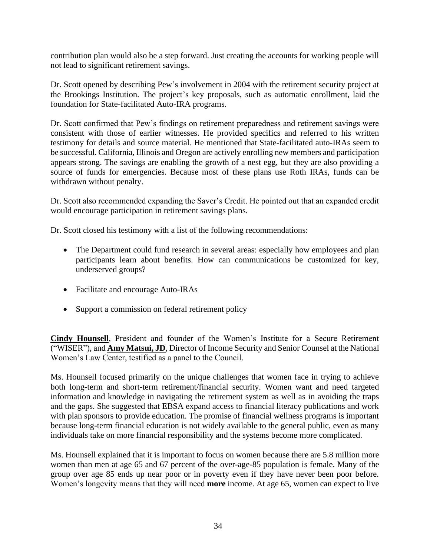contribution plan would also be a step forward. Just creating the accounts for working people will not lead to significant retirement savings.

Dr. Scott opened by describing Pew's involvement in 2004 with the retirement security project at the Brookings Institution. The project's key proposals, such as automatic enrollment, laid the foundation for State-facilitated Auto-IRA programs.

Dr. Scott confirmed that Pew's findings on retirement preparedness and retirement savings were consistent with those of earlier witnesses. He provided specifics and referred to his written testimony for details and source material. He mentioned that State-facilitated auto-IRAs seem to be successful. California, Illinois and Oregon are actively enrolling new members and participation appears strong. The savings are enabling the growth of a nest egg, but they are also providing a source of funds for emergencies. Because most of these plans use Roth IRAs, funds can be withdrawn without penalty.

Dr. Scott also recommended expanding the Saver's Credit. He pointed out that an expanded credit would encourage participation in retirement savings plans.

Dr. Scott closed his testimony with a list of the following recommendations:

- The Department could fund research in several areas: especially how employees and plan participants learn about benefits. How can communications be customized for key, underserved groups?
- Facilitate and encourage Auto-IRAs
- Support a commission on federal retirement policy

**Cindy Hounsell**, President and founder of the Women's Institute for a Secure Retirement ("WISER"), and **Amy Matsui, JD**, Director of Income Security and Senior Counsel at the National Women's Law Center, testified as a panel to the Council.

Ms. Hounsell focused primarily on the unique challenges that women face in trying to achieve both long-term and short-term retirement/financial security. Women want and need targeted information and knowledge in navigating the retirement system as well as in avoiding the traps and the gaps. She suggested that EBSA expand access to financial literacy publications and work with plan sponsors to provide education. The promise of financial wellness programs is important because long-term financial education is not widely available to the general public, even as many individuals take on more financial responsibility and the systems become more complicated.

Ms. Hounsell explained that it is important to focus on women because there are 5.8 million more women than men at age 65 and 67 percent of the over-age-85 population is female. Many of the group over age 85 ends up near poor or in poverty even if they have never been poor before. Women's longevity means that they will need **more** income. At age 65, women can expect to live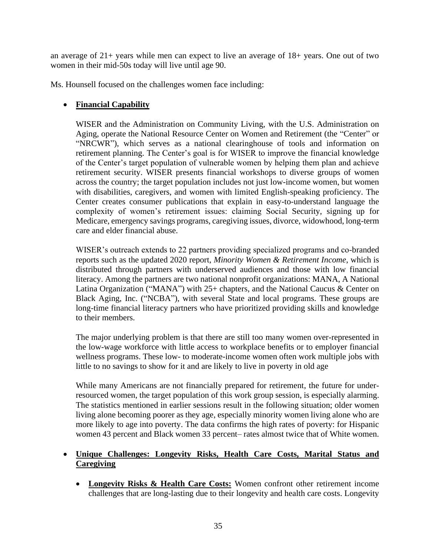an average of 21+ years while men can expect to live an average of 18+ years. One out of two women in their mid-50s today will live until age 90.

Ms. Hounsell focused on the challenges women face including:

# • **Financial Capability**

WISER and the Administration on Community Living, with the U.S. Administration on Aging, operate the National Resource Center on Women and Retirement (the "Center" or "NRCWR"), which serves as a national clearinghouse of tools and information on retirement planning. The Center's goal is for WISER to improve the financial knowledge of the Center's target population of vulnerable women by helping them plan and achieve retirement security. WISER presents financial workshops to diverse groups of women across the country; the target population includes not just low-income women, but women with disabilities, caregivers, and women with limited English-speaking proficiency. The Center creates consumer publications that explain in easy-to-understand language the complexity of women's retirement issues: claiming Social Security, signing up for Medicare, emergency savings programs, caregiving issues, divorce, widowhood, long-term care and elder financial abuse.

WISER's outreach extends to 22 partners providing specialized programs and co-branded reports such as the updated 2020 report, *Minority Women & Retirement Income*, which is distributed through partners with underserved audiences and those with low financial literacy. Among the partners are two national nonprofit organizations: MANA, A National Latina Organization ("MANA") with 25+ chapters, and the National Caucus & Center on Black Aging, Inc. ("NCBA"), with several State and local programs. These groups are long-time financial literacy partners who have prioritized providing skills and knowledge to their members.

The major underlying problem is that there are still too many women over-represented in the low-wage workforce with little access to workplace benefits or to employer financial wellness programs. These low- to moderate-income women often work multiple jobs with little to no savings to show for it and are likely to live in poverty in old age

While many Americans are not financially prepared for retirement, the future for underresourced women, the target population of this work group session, is especially alarming. The statistics mentioned in earlier sessions result in the following situation; older women living alone becoming poorer as they age, especially minority women living alone who are more likely to age into poverty. The data confirms the high rates of poverty: for Hispanic women 43 percent and Black women 33 percent– rates almost twice that of White women.

# • **Unique Challenges: Longevity Risks, Health Care Costs, Marital Status and Caregiving**

• **Longevity Risks & Health Care Costs:** Women confront other retirement income challenges that are long-lasting due to their longevity and health care costs. Longevity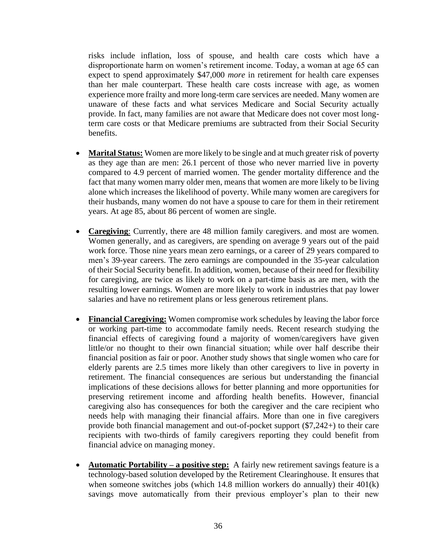risks include inflation, loss of spouse, and health care costs which have a disproportionate harm on women's retirement income. Today, a woman at age 65 can expect to spend approximately \$47,000 *more* in retirement for health care expenses than her male counterpart. These health care costs increase with age, as women experience more frailty and more long-term care services are needed. Many women are unaware of these facts and what services Medicare and Social Security actually provide. In fact, many families are not aware that Medicare does not cover most longterm care costs or that Medicare premiums are subtracted from their Social Security benefits.

- **Marital Status:** Women are more likely to be single and at much greater risk of poverty as they age than are men: 26.1 percent of those who never married live in poverty compared to 4.9 percent of married women. The gender mortality difference and the fact that many women marry older men, means that women are more likely to be living alone which increases the likelihood of poverty. While many women are caregivers for their husbands, many women do not have a spouse to care for them in their retirement years. At age 85, about 86 percent of women are single.
- **Caregiving**: Currently, there are 48 million family caregivers. and most are women. Women generally, and as caregivers, are spending on average 9 years out of the paid work force. Those nine years mean zero earnings, or a career of 29 years compared to men's 39-year careers. The zero earnings are compounded in the 35-year calculation of their Social Security benefit. In addition, women, because of their need for flexibility for caregiving, are twice as likely to work on a part-time basis as are men, with the resulting lower earnings. Women are more likely to work in industries that pay lower salaries and have no retirement plans or less generous retirement plans.
- **Financial Caregiving:** Women compromise work schedules by leaving the labor force or working part-time to accommodate family needs. Recent research studying the financial effects of caregiving found a majority of women/caregivers have given little/or no thought to their own financial situation; while over half describe their financial position as fair or poor. Another study shows that single women who care for elderly parents are 2.5 times more likely than other caregivers to live in poverty in retirement. The financial consequences are serious but understanding the financial implications of these decisions allows for better planning and more opportunities for preserving retirement income and affording health benefits. However, financial caregiving also has consequences for both the caregiver and the care recipient who needs help with managing their financial affairs. More than one in five caregivers provide both financial management and out-of-pocket support (\$7,242+) to their care recipients with two-thirds of family caregivers reporting they could benefit from financial advice on managing money.
- **Automatic Portability a positive step:** A fairly new retirement savings feature is a technology-based solution developed by the Retirement Clearinghouse. It ensures that when someone switches jobs (which 14.8 million workers do annually) their  $401(k)$ savings move automatically from their previous employer's plan to their new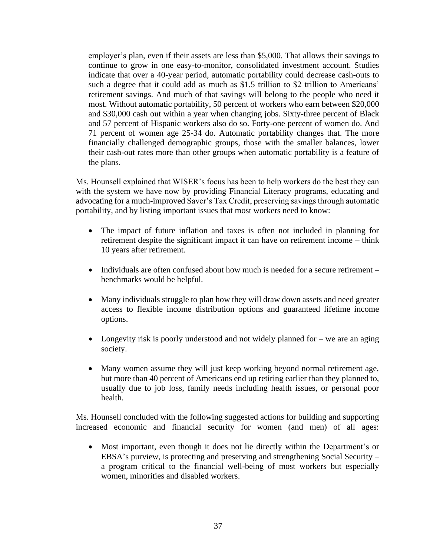employer's plan, even if their assets are less than \$5,000. That allows their savings to continue to grow in one easy-to-monitor, consolidated investment account. Studies indicate that over a 40-year period, automatic portability could decrease cash-outs to such a degree that it could add as much as \$1.5 trillion to \$2 trillion to Americans' retirement savings. And much of that savings will belong to the people who need it most. Without automatic portability, 50 percent of workers who earn between \$20,000 and \$30,000 cash out within a year when changing jobs. Sixty-three percent of Black and 57 percent of Hispanic workers also do so. Forty-one percent of women do. And 71 percent of women age 25-34 do. Automatic portability changes that. The more financially challenged demographic groups, those with the smaller balances, lower their cash-out rates more than other groups when automatic portability is a feature of the plans.

Ms. Hounsell explained that WISER's focus has been to help workers do the best they can with the system we have now by providing Financial Literacy programs, educating and advocating for a much-improved Saver's Tax Credit, preserving savings through automatic portability, and by listing important issues that most workers need to know:

- The impact of future inflation and taxes is often not included in planning for retirement despite the significant impact it can have on retirement income – think 10 years after retirement.
- Individuals are often confused about how much is needed for a secure retirement benchmarks would be helpful.
- Many individuals struggle to plan how they will draw down assets and need greater access to flexible income distribution options and guaranteed lifetime income options.
- Longevity risk is poorly understood and not widely planned for we are an aging society.
- Many women assume they will just keep working beyond normal retirement age, but more than 40 percent of Americans end up retiring earlier than they planned to, usually due to job loss, family needs including health issues, or personal poor health.

Ms. Hounsell concluded with the following suggested actions for building and supporting increased economic and financial security for women (and men) of all ages:

• Most important, even though it does not lie directly within the Department's or EBSA's purview, is protecting and preserving and strengthening Social Security – a program critical to the financial well-being of most workers but especially women, minorities and disabled workers.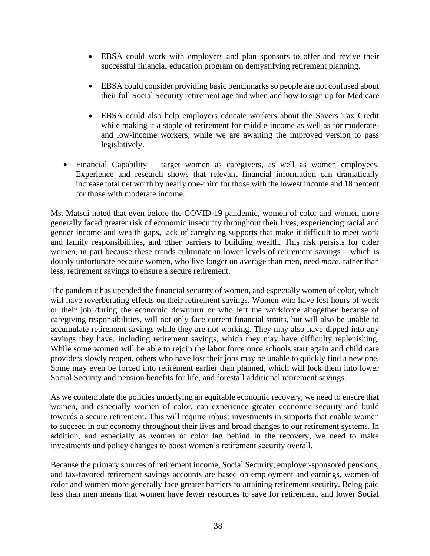- EBSA could work with employers and plan sponsors to offer and revive their successful financial education program on demystifying retirement planning.
- EBSA could consider providing basic benchmarks so people are not confused about their full Social Security retirement age and when and how to sign up for Medicare
- EBSA could also help employers educate workers about the Savers Tax Credit while making it a staple of retirement for middle-income as well as for moderateand low-income workers, while we are awaiting the improved version to pass legislatively.
- Financial Capability target women as caregivers, as well as women employees. Experience and research shows that relevant financial information can dramatically increase total net worth by nearly one-third for those with the lowest income and 18 percent for those with moderate income.

Ms. Matsui noted that even before the COVID-19 pandemic, women of color and women more generally faced greater risk of economic insecurity throughout their lives, experiencing racial and gender income and wealth gaps, lack of caregiving supports that make it difficult to meet work and family responsibilities, and other barriers to building wealth. This risk persists for older women, in part because these trends culminate in lower levels of retirement savings – which is doubly unfortunate because women, who live longer on average than men, need *more*, rather than less, retirement savings to ensure a secure retirement.

The pandemic has upended the financial security of women, and especially women of color, which will have reverberating effects on their retirement savings. Women who have lost hours of work or their job during the economic downturn or who left the workforce altogether because of caregiving responsibilities, will not only face current financial straits, but will also be unable to accumulate retirement savings while they are not working. They may also have dipped into any savings they have, including retirement savings, which they may have difficulty replenishing. While some women will be able to rejoin the labor force once schools start again and child care providers slowly reopen, others who have lost their jobs may be unable to quickly find a new one. Some may even be forced into retirement earlier than planned, which will lock them into lower Social Security and pension benefits for life, and forestall additional retirement savings.

As we contemplate the policies underlying an equitable economic recovery, we need to ensure that women, and especially women of color, can experience greater economic security and build towards a secure retirement. This will require robust investments in supports that enable women to succeed in our economy throughout their lives and broad changes to our retirement systems. In addition, and especially as women of color lag behind in the recovery, we need to make investments and policy changes to boost women's retirement security overall.

Because the primary sources of retirement income, Social Security, employer-sponsored pensions, and tax-favored retirement savings accounts are based on employment and earnings, women of color and women more generally face greater barriers to attaining retirement security. Being paid less than men means that women have fewer resources to save for retirement, and lower Social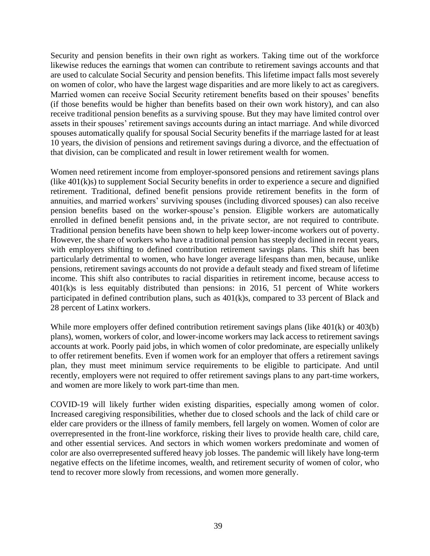Security and pension benefits in their own right as workers. Taking time out of the workforce likewise reduces the earnings that women can contribute to retirement savings accounts and that are used to calculate Social Security and pension benefits. This lifetime impact falls most severely on women of color, who have the largest wage disparities and are more likely to act as caregivers. Married women can receive Social Security retirement benefits based on their spouses' benefits (if those benefits would be higher than benefits based on their own work history), and can also receive traditional pension benefits as a surviving spouse. But they may have limited control over assets in their spouses' retirement savings accounts during an intact marriage. And while divorced spouses automatically qualify for spousal Social Security benefits if the marriage lasted for at least 10 years, the division of pensions and retirement savings during a divorce, and the effectuation of that division, can be complicated and result in lower retirement wealth for women.

Women need retirement income from employer-sponsored pensions and retirement savings plans (like 401(k)s) to supplement Social Security benefits in order to experience a secure and dignified retirement. Traditional, defined benefit pensions provide retirement benefits in the form of annuities, and married workers' surviving spouses (including divorced spouses) can also receive pension benefits based on the worker-spouse's pension. Eligible workers are automatically enrolled in defined benefit pensions and, in the private sector, are not required to contribute. Traditional pension benefits have been shown to help keep lower-income workers out of poverty. However, the share of workers who have a traditional pension has steeply declined in recent years, with employers shifting to defined contribution retirement savings plans. This shift has been particularly detrimental to women, who have longer average lifespans than men, because, unlike pensions, retirement savings accounts do not provide a default steady and fixed stream of lifetime income. This shift also contributes to racial disparities in retirement income, because access to 401(k)s is less equitably distributed than pensions: in 2016, 51 percent of White workers participated in defined contribution plans, such as 401(k)s, compared to 33 percent of Black and 28 percent of Latinx workers.

While more employers offer defined contribution retirement savings plans (like  $401(k)$  or  $403(b)$ ) plans), women, workers of color, and lower-income workers may lack access to retirement savings accounts at work. Poorly paid jobs, in which women of color predominate, are especially unlikely to offer retirement benefits. Even if women work for an employer that offers a retirement savings plan, they must meet minimum service requirements to be eligible to participate. And until recently, employers were not required to offer retirement savings plans to any part-time workers, and women are more likely to work part-time than men.

COVID-19 will likely further widen existing disparities, especially among women of color. Increased caregiving responsibilities, whether due to closed schools and the lack of child care or elder care providers or the illness of family members, fell largely on women. Women of color are overrepresented in the front-line workforce, risking their lives to provide health care, child care, and other essential services. And sectors in which women workers predominate and women of color are also overrepresented suffered heavy job losses. The pandemic will likely have long-term negative effects on the lifetime incomes, wealth, and retirement security of women of color, who tend to recover more slowly from recessions, and women more generally.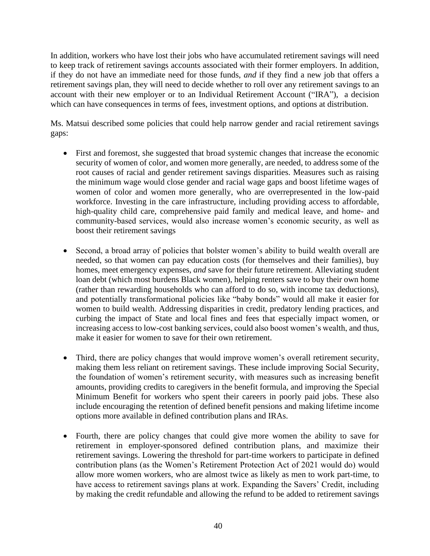In addition, workers who have lost their jobs who have accumulated retirement savings will need to keep track of retirement savings accounts associated with their former employers. In addition, if they do not have an immediate need for those funds, *and* if they find a new job that offers a retirement savings plan, they will need to decide whether to roll over any retirement savings to an account with their new employer or to an Individual Retirement Account ("IRA"), a decision which can have consequences in terms of fees, investment options, and options at distribution.

Ms. Matsui described some policies that could help narrow gender and racial retirement savings gaps:

- First and foremost, she suggested that broad systemic changes that increase the economic security of women of color, and women more generally, are needed, to address some of the root causes of racial and gender retirement savings disparities. Measures such as raising the minimum wage would close gender and racial wage gaps and boost lifetime wages of women of color and women more generally, who are overrepresented in the low-paid workforce. Investing in the care infrastructure, including providing access to affordable, high-quality child care, comprehensive paid family and medical leave, and home- and community-based services, would also increase women's economic security, as well as boost their retirement savings
- Second, a broad array of policies that bolster women's ability to build wealth overall are needed, so that women can pay education costs (for themselves and their families), buy homes, meet emergency expenses, *and* save for their future retirement. Alleviating student loan debt (which most burdens Black women), helping renters save to buy their own home (rather than rewarding households who can afford to do so, with income tax deductions), and potentially transformational policies like "baby bonds" would all make it easier for women to build wealth. Addressing disparities in credit, predatory lending practices, and curbing the impact of State and local fines and fees that especially impact women, or increasing access to low-cost banking services, could also boost women's wealth, and thus, make it easier for women to save for their own retirement.
- Third, there are policy changes that would improve women's overall retirement security, making them less reliant on retirement savings. These include improving Social Security, the foundation of women's retirement security, with measures such as increasing benefit amounts, providing credits to caregivers in the benefit formula, and improving the Special Minimum Benefit for workers who spent their careers in poorly paid jobs. These also include encouraging the retention of defined benefit pensions and making lifetime income options more available in defined contribution plans and IRAs.
- Fourth, there are policy changes that could give more women the ability to save for retirement in employer-sponsored defined contribution plans, and maximize their retirement savings. Lowering the threshold for part-time workers to participate in defined contribution plans (as the Women's Retirement Protection Act of 2021 would do) would allow more women workers, who are almost twice as likely as men to work part-time, to have access to retirement savings plans at work. Expanding the Savers' Credit, including by making the credit refundable and allowing the refund to be added to retirement savings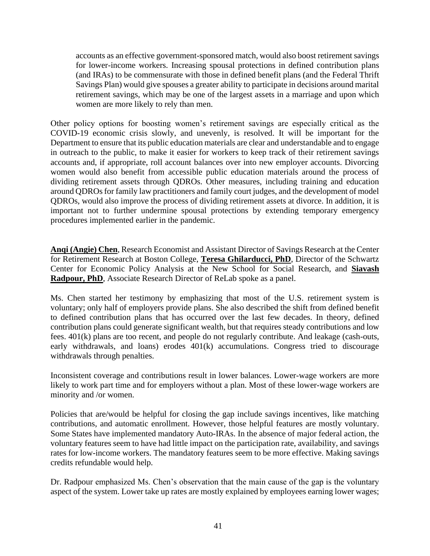accounts as an effective government-sponsored match, would also boost retirement savings for lower-income workers. Increasing spousal protections in defined contribution plans (and IRAs) to be commensurate with those in defined benefit plans (and the Federal Thrift Savings Plan) would give spouses a greater ability to participate in decisions around marital retirement savings, which may be one of the largest assets in a marriage and upon which women are more likely to rely than men.

Other policy options for boosting women's retirement savings are especially critical as the COVID-19 economic crisis slowly, and unevenly, is resolved. It will be important for the Department to ensure that its public education materials are clear and understandable and to engage in outreach to the public, to make it easier for workers to keep track of their retirement savings accounts and, if appropriate, roll account balances over into new employer accounts. Divorcing women would also benefit from accessible public education materials around the process of dividing retirement assets through QDROs. Other measures, including training and education around QDROs for family law practitioners and family court judges, and the development of model QDROs, would also improve the process of dividing retirement assets at divorce. In addition, it is important not to further undermine spousal protections by extending temporary emergency procedures implemented earlier in the pandemic.

**Anqi (Angie) Chen**, Research Economist and Assistant Director of Savings Research at the Center for Retirement Research at Boston College, **Teresa Ghilarducci, PhD**, Director of the Schwartz Center for Economic Policy Analysis at the New School for Social Research, and **Siavash Radpour, PhD**, Associate Research Director of ReLab spoke as a panel.

Ms. Chen started her testimony by emphasizing that most of the U.S. retirement system is voluntary; only half of employers provide plans. She also described the shift from defined benefit to defined contribution plans that has occurred over the last few decades. In theory, defined contribution plans could generate significant wealth, but that requires steady contributions and low fees. 401(k) plans are too recent, and people do not regularly contribute. And leakage (cash-outs, early withdrawals, and loans) erodes 401(k) accumulations. Congress tried to discourage withdrawals through penalties.

Inconsistent coverage and contributions result in lower balances. Lower-wage workers are more likely to work part time and for employers without a plan. Most of these lower-wage workers are minority and /or women.

Policies that are/would be helpful for closing the gap include savings incentives, like matching contributions, and automatic enrollment. However, those helpful features are mostly voluntary. Some States have implemented mandatory Auto-IRAs. In the absence of major federal action, the voluntary features seem to have had little impact on the participation rate, availability, and savings rates for low-income workers. The mandatory features seem to be more effective. Making savings credits refundable would help.

Dr. Radpour emphasized Ms. Chen's observation that the main cause of the gap is the voluntary aspect of the system. Lower take up rates are mostly explained by employees earning lower wages;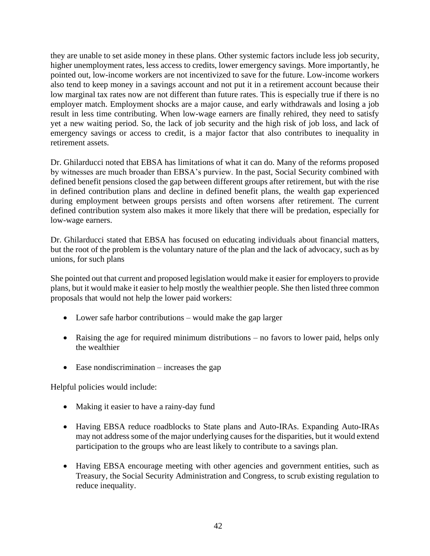they are unable to set aside money in these plans. Other systemic factors include less job security, higher unemployment rates, less access to credits, lower emergency savings. More importantly, he pointed out, low-income workers are not incentivized to save for the future. Low-income workers also tend to keep money in a savings account and not put it in a retirement account because their low marginal tax rates now are not different than future rates. This is especially true if there is no employer match. Employment shocks are a major cause, and early withdrawals and losing a job result in less time contributing. When low-wage earners are finally rehired, they need to satisfy yet a new waiting period. So, the lack of job security and the high risk of job loss, and lack of emergency savings or access to credit, is a major factor that also contributes to inequality in retirement assets.

Dr. Ghilarducci noted that EBSA has limitations of what it can do. Many of the reforms proposed by witnesses are much broader than EBSA's purview. In the past, Social Security combined with defined benefit pensions closed the gap between different groups after retirement, but with the rise in defined contribution plans and decline in defined benefit plans, the wealth gap experienced during employment between groups persists and often worsens after retirement. The current defined contribution system also makes it more likely that there will be predation, especially for low-wage earners.

Dr. Ghilarducci stated that EBSA has focused on educating individuals about financial matters, but the root of the problem is the voluntary nature of the plan and the lack of advocacy, such as by unions, for such plans

She pointed out that current and proposed legislation would make it easier for employers to provide plans, but it would make it easier to help mostly the wealthier people. She then listed three common proposals that would not help the lower paid workers:

- Lower safe harbor contributions would make the gap larger
- Raising the age for required minimum distributions no favors to lower paid, helps only the wealthier
- Ease nondiscrimination  $-$  increases the gap

Helpful policies would include:

- Making it easier to have a rainy-day fund
- Having EBSA reduce roadblocks to State plans and Auto-IRAs. Expanding Auto-IRAs may not address some of the major underlying causes for the disparities, but it would extend participation to the groups who are least likely to contribute to a savings plan.
- Having EBSA encourage meeting with other agencies and government entities, such as Treasury, the Social Security Administration and Congress, to scrub existing regulation to reduce inequality.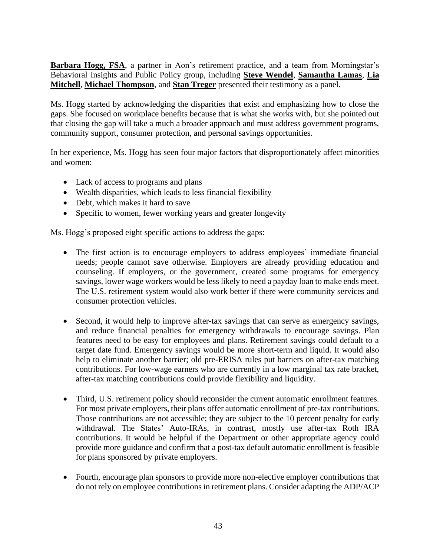**Barbara Hogg, FSA**, a partner in Aon's retirement practice, and a team from Morningstar's Behavioral Insights and Public Policy group, including **Steve Wendel**, **Samantha Lamas**, **Lia Mitchell**, **Michael Thompson**, and **Stan Treger** presented their testimony as a panel.

Ms. Hogg started by acknowledging the disparities that exist and emphasizing how to close the gaps. She focused on workplace benefits because that is what she works with, but she pointed out that closing the gap will take a much a broader approach and must address government programs, community support, consumer protection, and personal savings opportunities.

In her experience, Ms. Hogg has seen four major factors that disproportionately affect minorities and women:

- Lack of access to programs and plans
- Wealth disparities, which leads to less financial flexibility
- Debt, which makes it hard to save
- Specific to women, fewer working years and greater longevity

Ms. Hogg's proposed eight specific actions to address the gaps:

- The first action is to encourage employers to address employees' immediate financial needs; people cannot save otherwise. Employers are already providing education and counseling. If employers, or the government, created some programs for emergency savings, lower wage workers would be less likely to need a payday loan to make ends meet. The U.S. retirement system would also work better if there were community services and consumer protection vehicles.
- Second, it would help to improve after-tax savings that can serve as emergency savings, and reduce financial penalties for emergency withdrawals to encourage savings. Plan features need to be easy for employees and plans. Retirement savings could default to a target date fund. Emergency savings would be more short-term and liquid. It would also help to eliminate another barrier; old pre-ERISA rules put barriers on after-tax matching contributions. For low-wage earners who are currently in a low marginal tax rate bracket, after-tax matching contributions could provide flexibility and liquidity.
- Third, U.S. retirement policy should reconsider the current automatic enrollment features. For most private employers, their plans offer automatic enrollment of pre-tax contributions. Those contributions are not accessible; they are subject to the 10 percent penalty for early withdrawal. The States' Auto-IRAs, in contrast, mostly use after-tax Roth IRA contributions. It would be helpful if the Department or other appropriate agency could provide more guidance and confirm that a post-tax default automatic enrollment is feasible for plans sponsored by private employers.
- Fourth, encourage plan sponsors to provide more non-elective employer contributions that do not rely on employee contributions in retirement plans. Consider adapting the ADP/ACP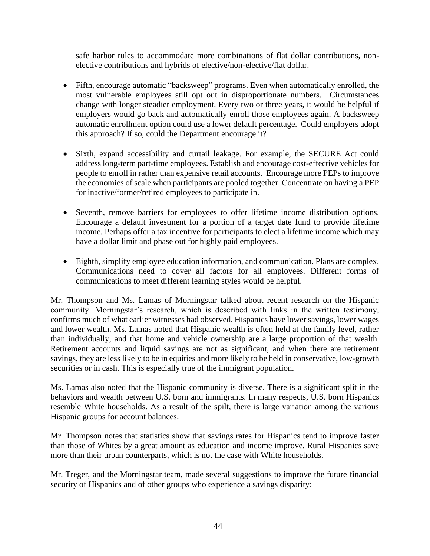safe harbor rules to accommodate more combinations of flat dollar contributions, nonelective contributions and hybrids of elective/non-elective/flat dollar.

- Fifth, encourage automatic "backsweep" programs. Even when automatically enrolled, the most vulnerable employees still opt out in disproportionate numbers. Circumstances change with longer steadier employment. Every two or three years, it would be helpful if employers would go back and automatically enroll those employees again. A backsweep automatic enrollment option could use a lower default percentage. Could employers adopt this approach? If so, could the Department encourage it?
- Sixth, expand accessibility and curtail leakage. For example, the SECURE Act could address long-term part-time employees. Establish and encourage cost-effective vehicles for people to enroll in rather than expensive retail accounts. Encourage more PEPs to improve the economies of scale when participants are pooled together. Concentrate on having a PEP for inactive/former/retired employees to participate in.
- Seventh, remove barriers for employees to offer lifetime income distribution options. Encourage a default investment for a portion of a target date fund to provide lifetime income. Perhaps offer a tax incentive for participants to elect a lifetime income which may have a dollar limit and phase out for highly paid employees.
- Eighth, simplify employee education information, and communication. Plans are complex. Communications need to cover all factors for all employees. Different forms of communications to meet different learning styles would be helpful.

Mr. Thompson and Ms. Lamas of Morningstar talked about recent research on the Hispanic community. Morningstar's research, which is described with links in the written testimony, confirms much of what earlier witnesses had observed. Hispanics have lower savings, lower wages and lower wealth. Ms. Lamas noted that Hispanic wealth is often held at the family level, rather than individually, and that home and vehicle ownership are a large proportion of that wealth. Retirement accounts and liquid savings are not as significant, and when there are retirement savings, they are less likely to be in equities and more likely to be held in conservative, low-growth securities or in cash. This is especially true of the immigrant population.

Ms. Lamas also noted that the Hispanic community is diverse. There is a significant split in the behaviors and wealth between U.S. born and immigrants. In many respects, U.S. born Hispanics resemble White households. As a result of the spilt, there is large variation among the various Hispanic groups for account balances.

Mr. Thompson notes that statistics show that savings rates for Hispanics tend to improve faster than those of Whites by a great amount as education and income improve. Rural Hispanics save more than their urban counterparts, which is not the case with White households.

Mr. Treger, and the Morningstar team, made several suggestions to improve the future financial security of Hispanics and of other groups who experience a savings disparity: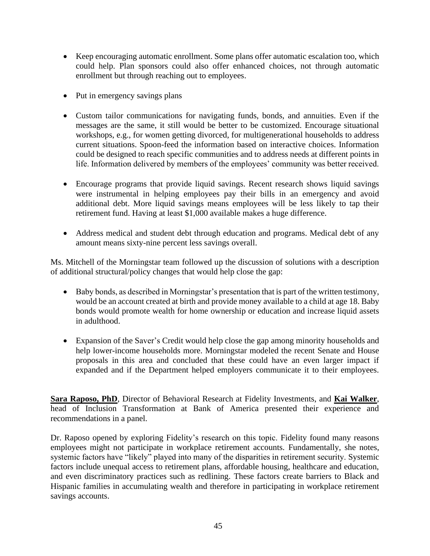- Keep encouraging automatic enrollment. Some plans offer automatic escalation too, which could help. Plan sponsors could also offer enhanced choices, not through automatic enrollment but through reaching out to employees.
- Put in emergency savings plans
- Custom tailor communications for navigating funds, bonds, and annuities. Even if the messages are the same, it still would be better to be customized. Encourage situational workshops, e.g., for women getting divorced, for multigenerational households to address current situations. Spoon-feed the information based on interactive choices. Information could be designed to reach specific communities and to address needs at different points in life. Information delivered by members of the employees' community was better received.
- Encourage programs that provide liquid savings. Recent research shows liquid savings were instrumental in helping employees pay their bills in an emergency and avoid additional debt. More liquid savings means employees will be less likely to tap their retirement fund. Having at least \$1,000 available makes a huge difference.
- Address medical and student debt through education and programs. Medical debt of any amount means sixty-nine percent less savings overall.

Ms. Mitchell of the Morningstar team followed up the discussion of solutions with a description of additional structural/policy changes that would help close the gap:

- Baby bonds, as described in Morningstar's presentation that is part of the written testimony, would be an account created at birth and provide money available to a child at age 18. Baby bonds would promote wealth for home ownership or education and increase liquid assets in adulthood.
- Expansion of the Saver's Credit would help close the gap among minority households and help lower-income households more. Morningstar modeled the recent Senate and House proposals in this area and concluded that these could have an even larger impact if expanded and if the Department helped employers communicate it to their employees.

**Sara Raposo, PhD**, Director of Behavioral Research at Fidelity Investments, and **Kai Walker**, head of Inclusion Transformation at Bank of America presented their experience and recommendations in a panel.

Dr. Raposo opened by exploring Fidelity's research on this topic. Fidelity found many reasons employees might not participate in workplace retirement accounts. Fundamentally, she notes, systemic factors have "likely" played into many of the disparities in retirement security. Systemic factors include unequal access to retirement plans, affordable housing, healthcare and education, and even discriminatory practices such as redlining. These factors create barriers to Black and Hispanic families in accumulating wealth and therefore in participating in workplace retirement savings accounts.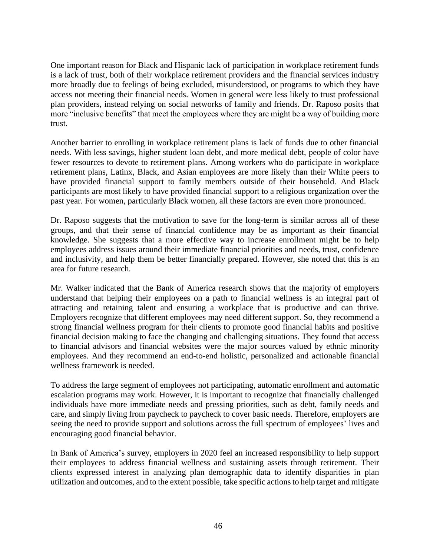One important reason for Black and Hispanic lack of participation in workplace retirement funds is a lack of trust, both of their workplace retirement providers and the financial services industry more broadly due to feelings of being excluded, misunderstood, or programs to which they have access not meeting their financial needs. Women in general were less likely to trust professional plan providers, instead relying on social networks of family and friends. Dr. Raposo posits that more "inclusive benefits" that meet the employees where they are might be a way of building more trust.

Another barrier to enrolling in workplace retirement plans is lack of funds due to other financial needs. With less savings, higher student loan debt, and more medical debt, people of color have fewer resources to devote to retirement plans. Among workers who do participate in workplace retirement plans, Latinx, Black, and Asian employees are more likely than their White peers to have provided financial support to family members outside of their household. And Black participants are most likely to have provided financial support to a religious organization over the past year. For women, particularly Black women, all these factors are even more pronounced.

Dr. Raposo suggests that the motivation to save for the long-term is similar across all of these groups, and that their sense of financial confidence may be as important as their financial knowledge. She suggests that a more effective way to increase enrollment might be to help employees address issues around their immediate financial priorities and needs, trust, confidence and inclusivity, and help them be better financially prepared. However, she noted that this is an area for future research.

Mr. Walker indicated that the Bank of America research shows that the majority of employers understand that helping their employees on a path to financial wellness is an integral part of attracting and retaining talent and ensuring a workplace that is productive and can thrive. Employers recognize that different employees may need different support. So, they recommend a strong financial wellness program for their clients to promote good financial habits and positive financial decision making to face the changing and challenging situations. They found that access to financial advisors and financial websites were the major sources valued by ethnic minority employees. And they recommend an end-to-end holistic, personalized and actionable financial wellness framework is needed.

To address the large segment of employees not participating, automatic enrollment and automatic escalation programs may work. However, it is important to recognize that financially challenged individuals have more immediate needs and pressing priorities, such as debt, family needs and care, and simply living from paycheck to paycheck to cover basic needs. Therefore, employers are seeing the need to provide support and solutions across the full spectrum of employees' lives and encouraging good financial behavior.

In Bank of America's survey, employers in 2020 feel an increased responsibility to help support their employees to address financial wellness and sustaining assets through retirement. Their clients expressed interest in analyzing plan demographic data to identify disparities in plan utilization and outcomes, and to the extent possible, take specific actions to help target and mitigate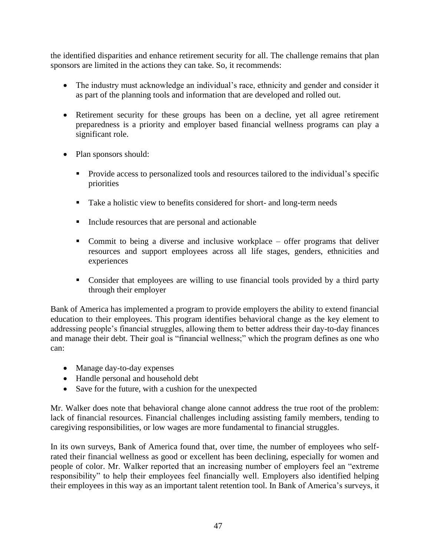the identified disparities and enhance retirement security for all. The challenge remains that plan sponsors are limited in the actions they can take. So, it recommends:

- The industry must acknowledge an individual's race, ethnicity and gender and consider it as part of the planning tools and information that are developed and rolled out.
- Retirement security for these groups has been on a decline, yet all agree retirement preparedness is a priority and employer based financial wellness programs can play a significant role.
- Plan sponsors should:
	- Provide access to personalized tools and resources tailored to the individual's specific priorities
	- Take a holistic view to benefits considered for short- and long-term needs
	- Include resources that are personal and actionable
	- Commit to being a diverse and inclusive workplace offer programs that deliver resources and support employees across all life stages, genders, ethnicities and experiences
	- Consider that employees are willing to use financial tools provided by a third party through their employer

Bank of America has implemented a program to provide employers the ability to extend financial education to their employees. This program identifies behavioral change as the key element to addressing people's financial struggles, allowing them to better address their day-to-day finances and manage their debt. Their goal is "financial wellness;" which the program defines as one who can:

- Manage day-to-day expenses
- Handle personal and household debt
- Save for the future, with a cushion for the unexpected

Mr. Walker does note that behavioral change alone cannot address the true root of the problem: lack of financial resources. Financial challenges including assisting family members, tending to caregiving responsibilities, or low wages are more fundamental to financial struggles.

In its own surveys, Bank of America found that, over time, the number of employees who selfrated their financial wellness as good or excellent has been declining, especially for women and people of color. Mr. Walker reported that an increasing number of employers feel an "extreme responsibility" to help their employees feel financially well. Employers also identified helping their employees in this way as an important talent retention tool. In Bank of America's surveys, it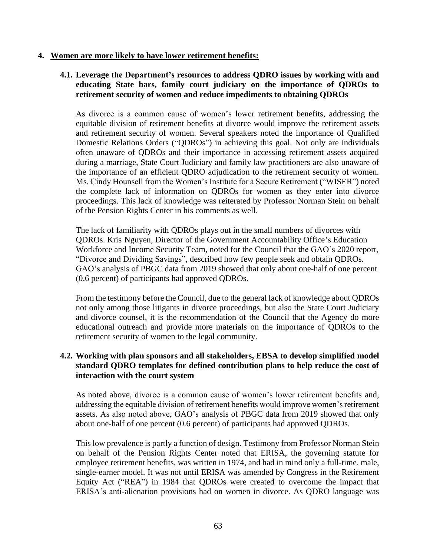#### **4. Women are more likely to have lower retirement benefits:**

## **4.1. Leverage the Department's resources to address QDRO issues by working with and educating State bars, family court judiciary on the importance of QDROs to retirement security of women and reduce impediments to obtaining QDROs**

As divorce is a common cause of women's lower retirement benefits, addressing the equitable division of retirement benefits at divorce would improve the retirement assets and retirement security of women. Several speakers noted the importance of Qualified Domestic Relations Orders ("QDROs") in achieving this goal. Not only are individuals often unaware of QDROs and their importance in accessing retirement assets acquired during a marriage, State Court Judiciary and family law practitioners are also unaware of the importance of an efficient QDRO adjudication to the retirement security of women. Ms. Cindy Hounsell from the Women's Institute for a Secure Retirement ("WISER") noted the complete lack of information on QDROs for women as they enter into divorce proceedings. This lack of knowledge was reiterated by Professor Norman Stein on behalf of the Pension Rights Center in his comments as well.

The lack of familiarity with QDROs plays out in the small numbers of divorces with QDROs. Kris Nguyen, Director of the Government Accountability Office's Education Workforce and Income Security Team, noted for the Council that the GAO's 2020 report, "Divorce and Dividing Savings", described how few people seek and obtain QDROs. GAO's analysis of PBGC data from 2019 showed that only about one-half of one percent (0.6 percent) of participants had approved QDROs.

From the testimony before the Council, due to the general lack of knowledge about QDROs not only among those litigants in divorce proceedings, but also the State Court Judiciary and divorce counsel, it is the recommendation of the Council that the Agency do more educational outreach and provide more materials on the importance of QDROs to the retirement security of women to the legal community.

## **4.2. Working with plan sponsors and all stakeholders, EBSA to develop simplified model standard QDRO templates for defined contribution plans to help reduce the cost of interaction with the court system**

As noted above, divorce is a common cause of women's lower retirement benefits and, addressing the equitable division of retirement benefits would improve women's retirement assets. As also noted above, GAO's analysis of PBGC data from 2019 showed that only about one-half of one percent (0.6 percent) of participants had approved QDROs.

This low prevalence is partly a function of design. Testimony from Professor Norman Stein on behalf of the Pension Rights Center noted that ERISA, the governing statute for employee retirement benefits, was written in 1974, and had in mind only a full-time, male, single-earner model. It was not until ERISA was amended by Congress in the Retirement Equity Act ("REA") in 1984 that QDROs were created to overcome the impact that ERISA's anti-alienation provisions had on women in divorce. As QDRO language was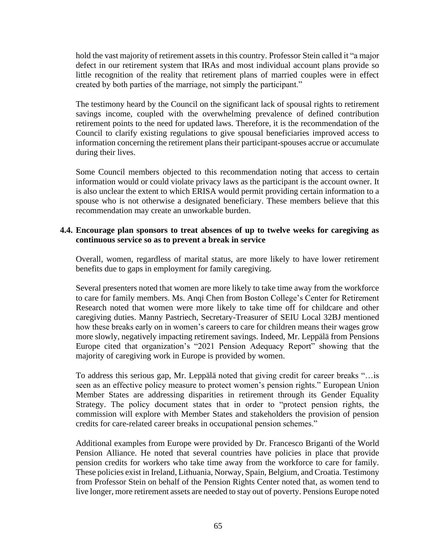hold the vast majority of retirement assets in this country. Professor Stein called it "a major defect in our retirement system that IRAs and most individual account plans provide so little recognition of the reality that retirement plans of married couples were in effect created by both parties of the marriage, not simply the participant."

The testimony heard by the Council on the significant lack of spousal rights to retirement savings income, coupled with the overwhelming prevalence of defined contribution retirement points to the need for updated laws. Therefore, it is the recommendation of the Council to clarify existing regulations to give spousal beneficiaries improved access to information concerning the retirement plans their participant-spouses accrue or accumulate during their lives.

Some Council members objected to this recommendation noting that access to certain information would or could violate privacy laws as the participant is the account owner. It is also unclear the extent to which ERISA would permit providing certain information to a spouse who is not otherwise a designated beneficiary. These members believe that this recommendation may create an unworkable burden.

## **4.4. Encourage plan sponsors to treat absences of up to twelve weeks for caregiving as continuous service so as to prevent a break in service**

Overall, women, regardless of marital status, are more likely to have lower retirement benefits due to gaps in employment for family caregiving.

Several presenters noted that women are more likely to take time away from the workforce to care for family members. Ms. Anqi Chen from Boston College's Center for Retirement Research noted that women were more likely to take time off for childcare and other caregiving duties. Manny Pastriech, Secretary-Treasurer of SEIU Local 32BJ mentioned how these breaks early on in women's careers to care for children means their wages grow more slowly, negatively impacting retirement savings. Indeed, Mr. Leppälä from Pensions Europe cited that organization's "2021 Pension Adequacy Report" showing that the majority of caregiving work in Europe is provided by women.

To address this serious gap, Mr. Leppälä noted that giving credit for career breaks "…is seen as an effective policy measure to protect women's pension rights." European Union Member States are addressing disparities in retirement through its Gender Equality Strategy. The policy document states that in order to "protect pension rights, the commission will explore with Member States and stakeholders the provision of pension credits for care-related career breaks in occupational pension schemes."

Additional examples from Europe were provided by Dr. Francesco Briganti of the World Pension Alliance. He noted that several countries have policies in place that provide pension credits for workers who take time away from the workforce to care for family. These policies exist in Ireland, Lithuania, Norway, Spain, Belgium, and Croatia. Testimony from Professor Stein on behalf of the Pension Rights Center noted that, as women tend to live longer, more retirement assets are needed to stay out of poverty. Pensions Europe noted